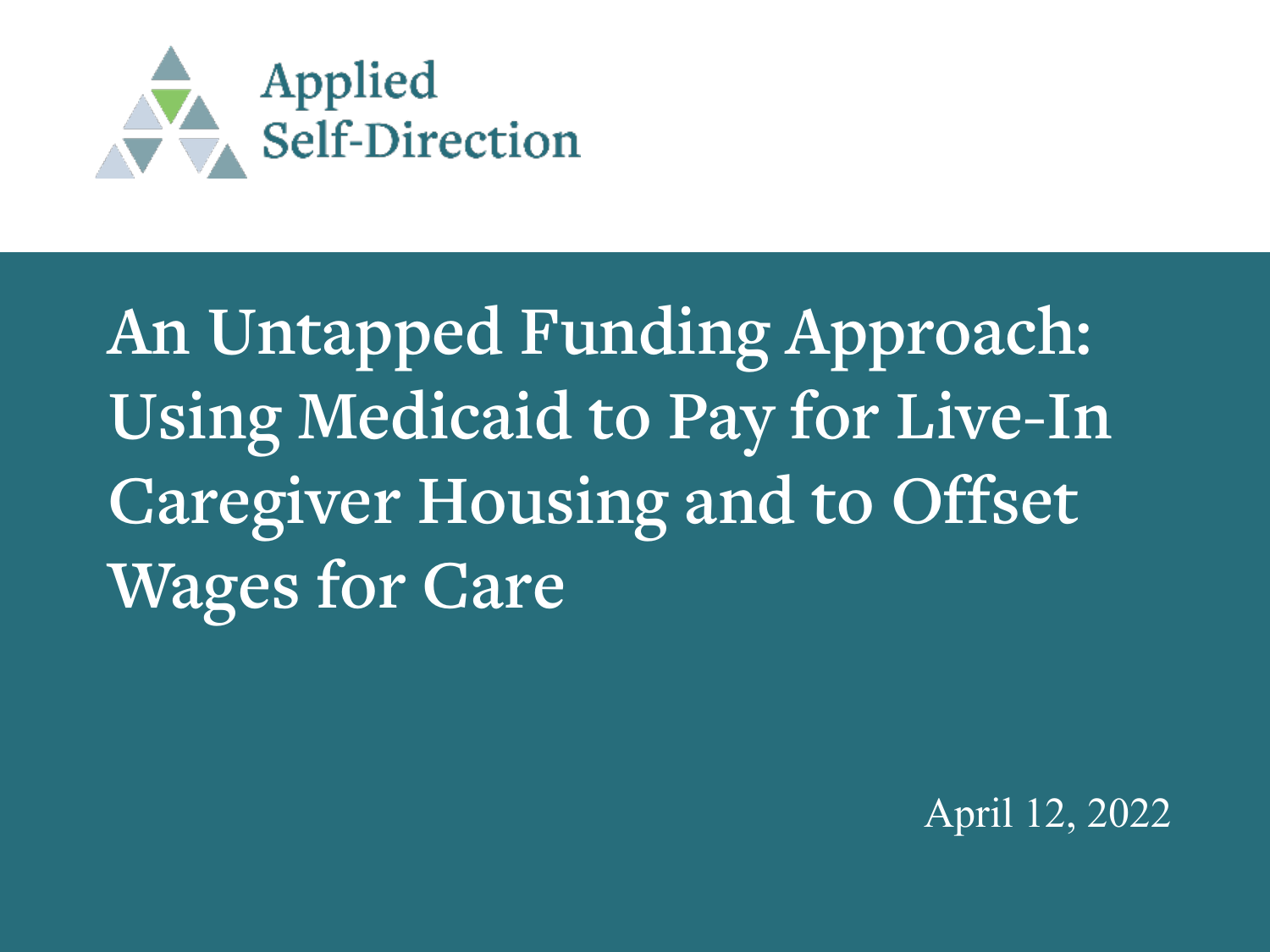

**An Untapped Funding Approach: Using Medicaid to Pay for Live-In Caregiver Housing and to Offset Wages for Care**

April 12, 2022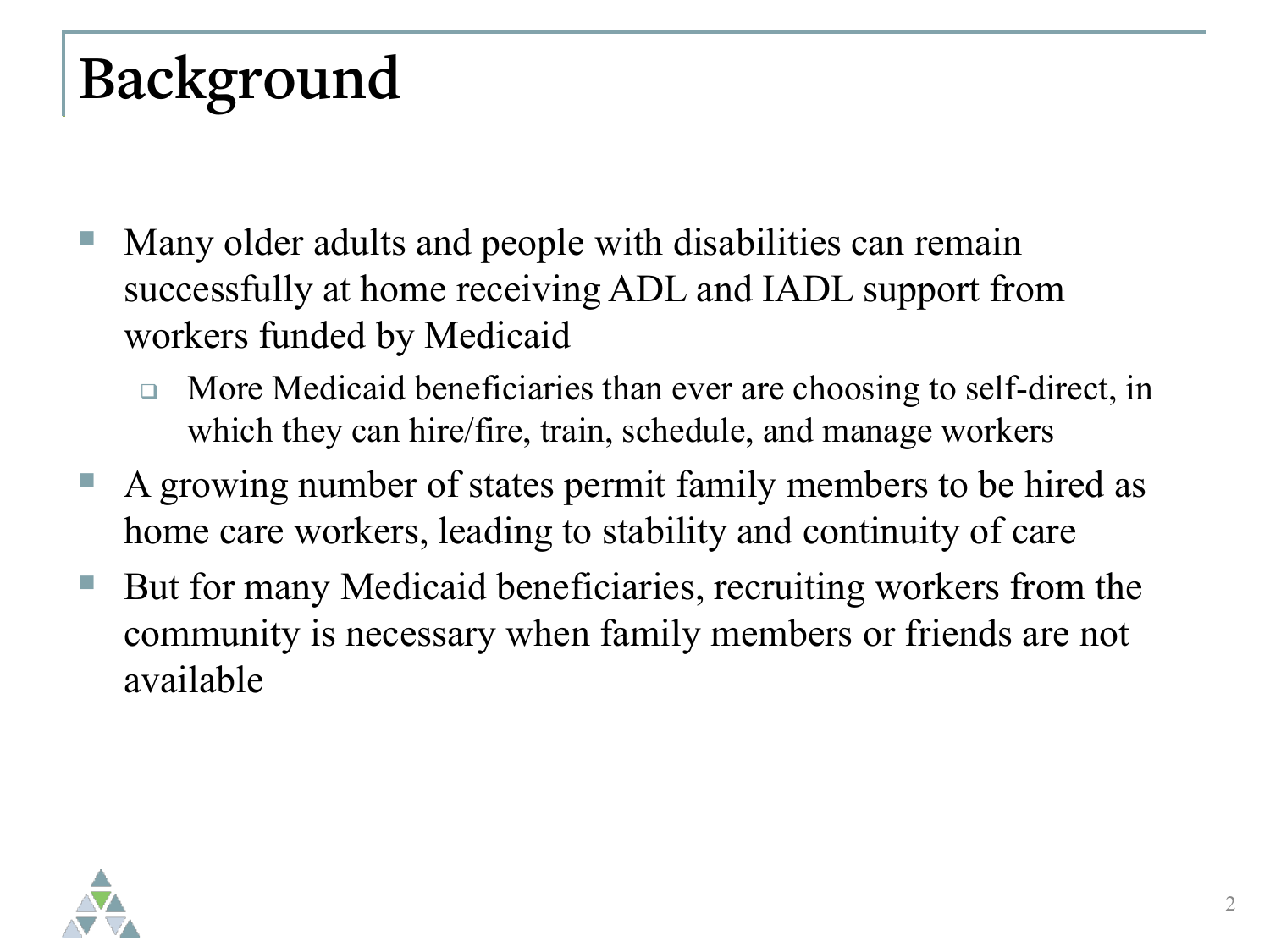# **Background**

- Many older adults and people with disabilities can remain successfully at home receiving ADL and IADL support from workers funded by Medicaid
	- **If** More Medicaid beneficiaries than ever are choosing to self-direct, in which they can hire/fire, train, schedule, and manage workers
- A growing number of states permit family members to be hired as home care workers, leading to stability and continuity of care
- But for many Medicaid beneficiaries, recruiting workers from the community is necessary when family members or friends are not available

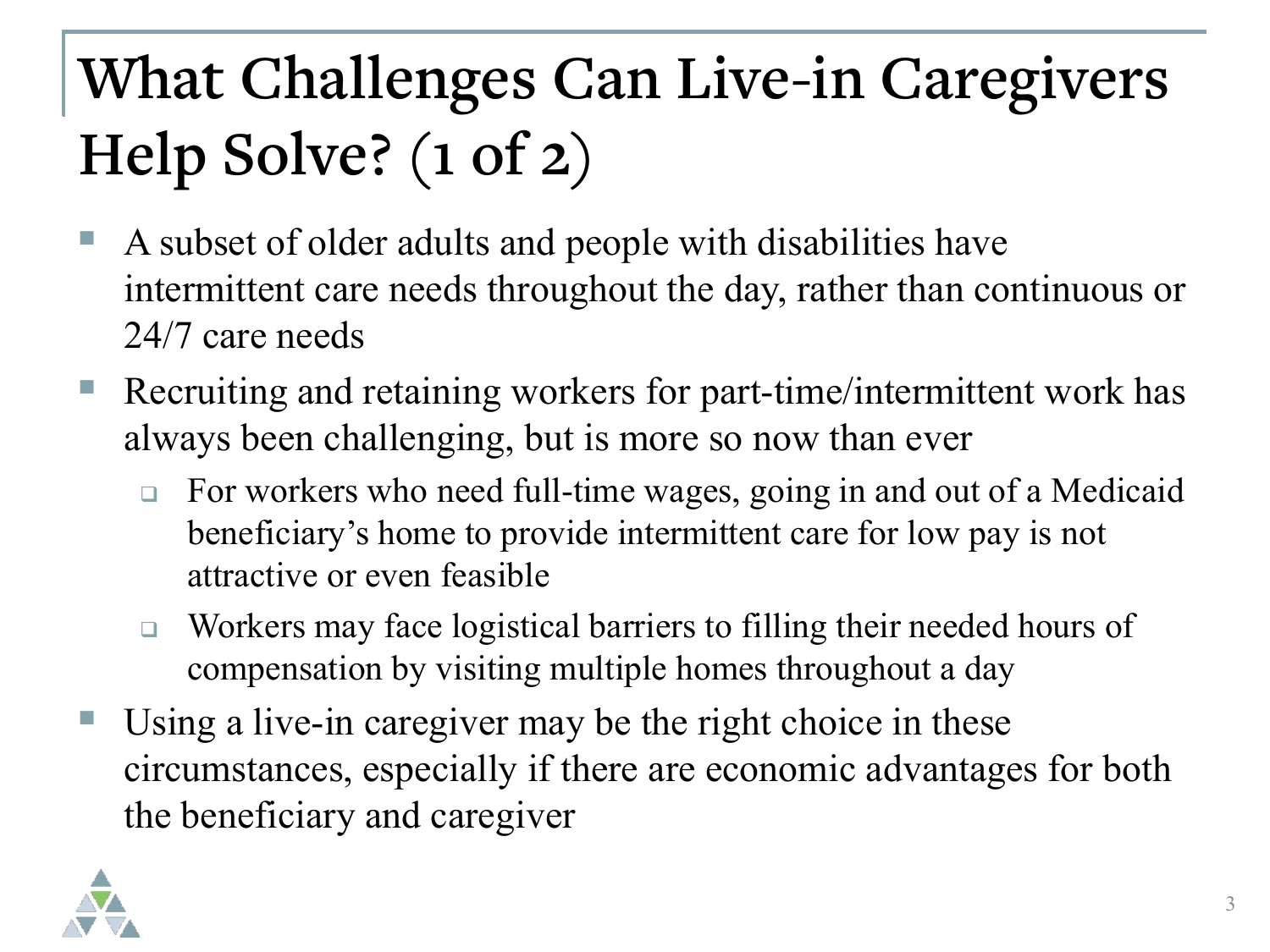# **What Challenges Can Live-in Caregivers Help Solve? (1 of 2)**

- A subset of older adults and people with disabilities have intermittent care needs throughout the day, rather than continuous or 24/7 care needs
- Recruiting and retaining workers for part-time/intermittent work has always been challenging, but is more so now than ever
	- □ For workers who need full-time wages, going in and out of a Medicaid beneficiary's home to provide intermittent care for low pay is not attractive or even feasible
	- □ Workers may face logistical barriers to filling their needed hours of compensation by visiting multiple homes throughout a day
- Using a live-in caregiver may be the right choice in these circumstances, especially if there are economic advantages for both the beneficiary and caregiver

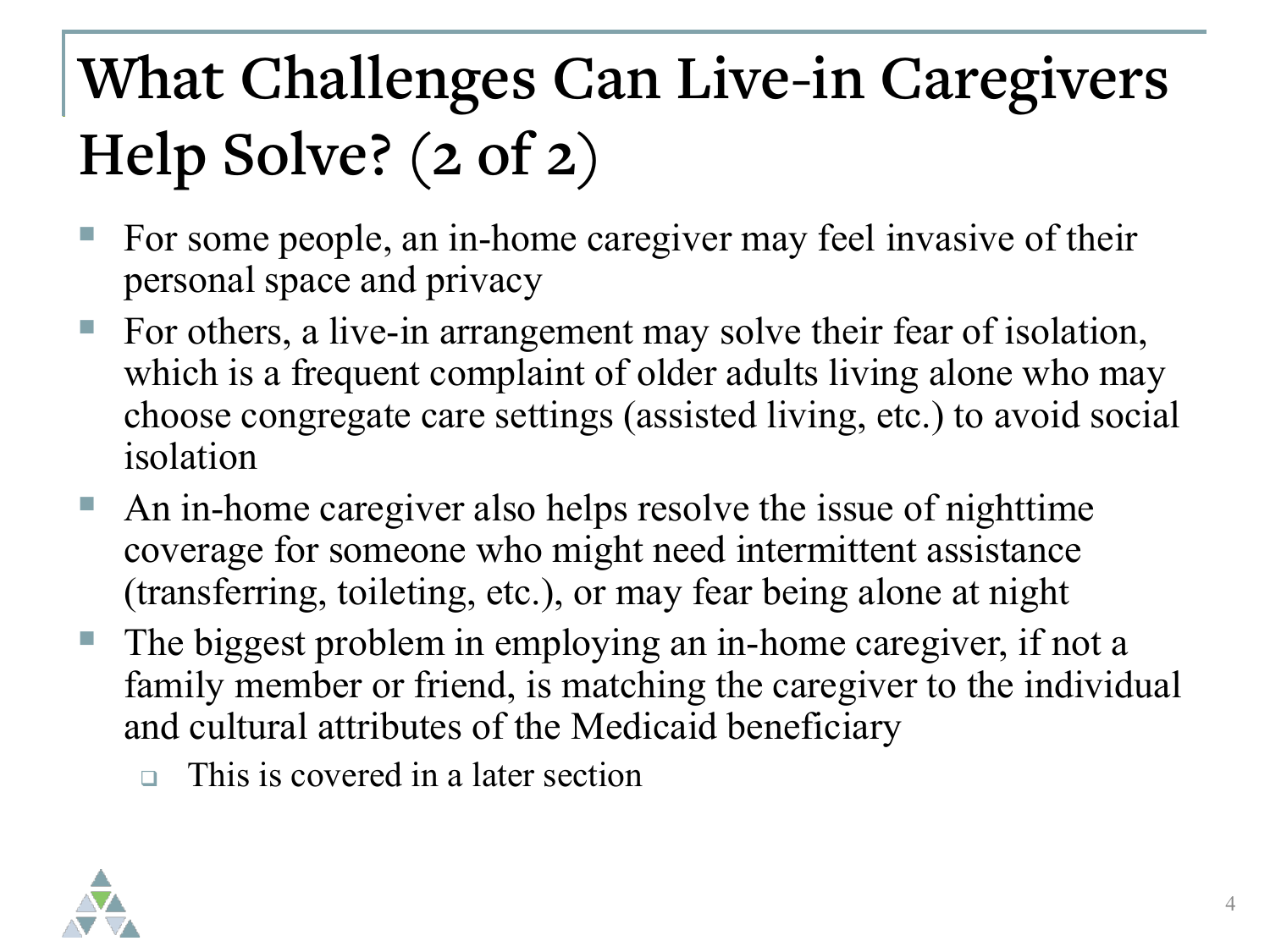# **What Challenges Can Live-in Caregivers Help Solve? (2 of 2)**

- For some people, an in-home caregiver may feel invasive of their personal space and privacy
- For others, a live-in arrangement may solve their fear of isolation, which is a frequent complaint of older adults living alone who may choose congregate care settings (assisted living, etc.) to avoid social isolation
- An in-home caregiver also helps resolve the issue of nighttime coverage for someone who might need intermittent assistance (transferring, toileting, etc.), or may fear being alone at night
- The biggest problem in employing an in-home caregiver, if not a family member or friend, is matching the caregiver to the individual and cultural attributes of the Medicaid beneficiary
	- This is covered in a later section

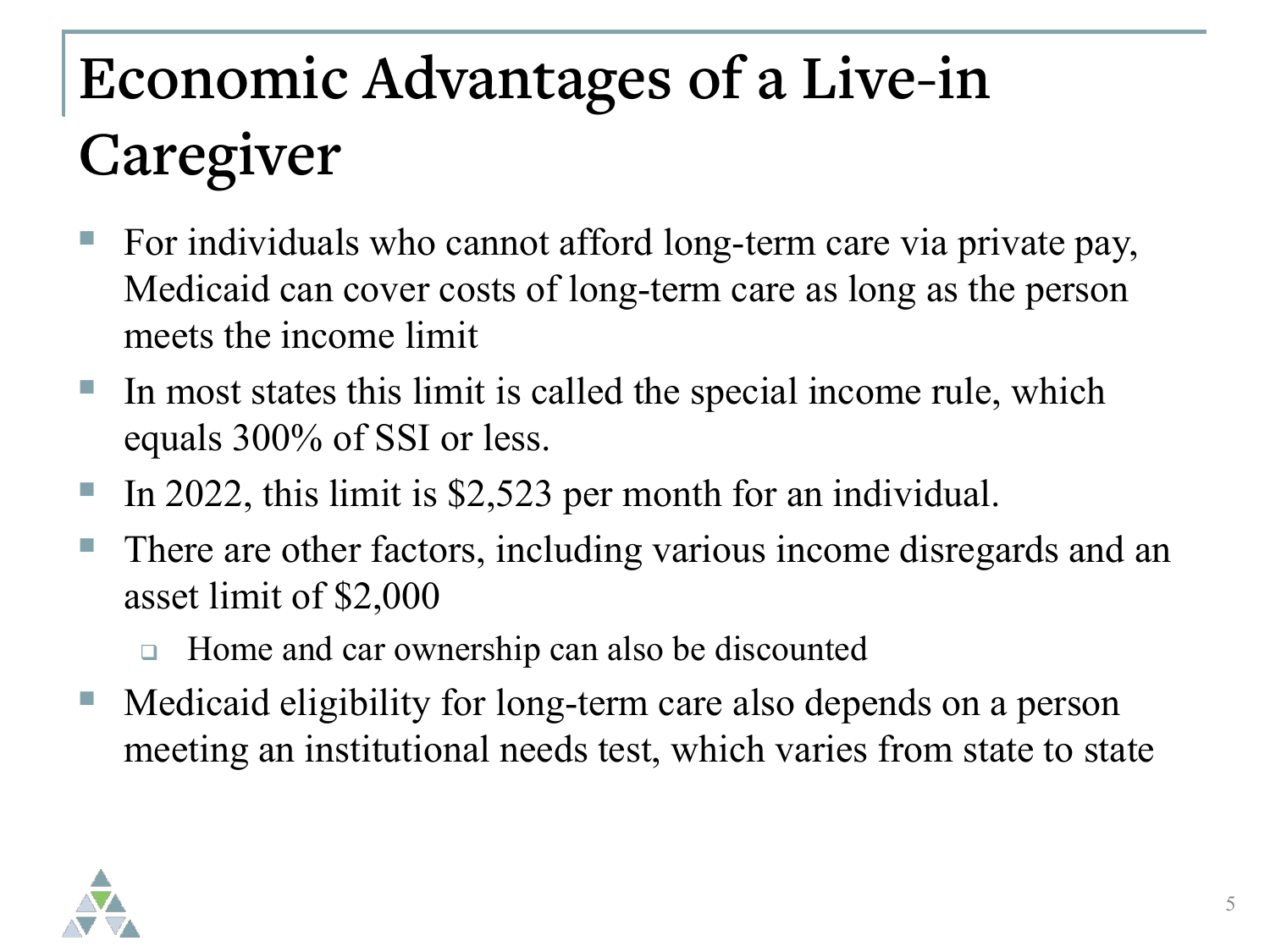# **Economic Advantages of a Live-in Caregiver**

- For individuals who cannot afford long-term care via private pay, Medicaid can cover costs of long-term care as long as the person meets the income limit
- In most states this limit is called the special income rule, which equals 300% of SSI or less.
- In 2022, this limit is \$2,523 per month for an individual.
- There are other factors, including various income disregards and an asset limit of \$2,000
	- □ Home and car ownership can also be discounted
- Medicaid eligibility for long-term care also depends on a person meeting an institutional needs test, which varies from state to state

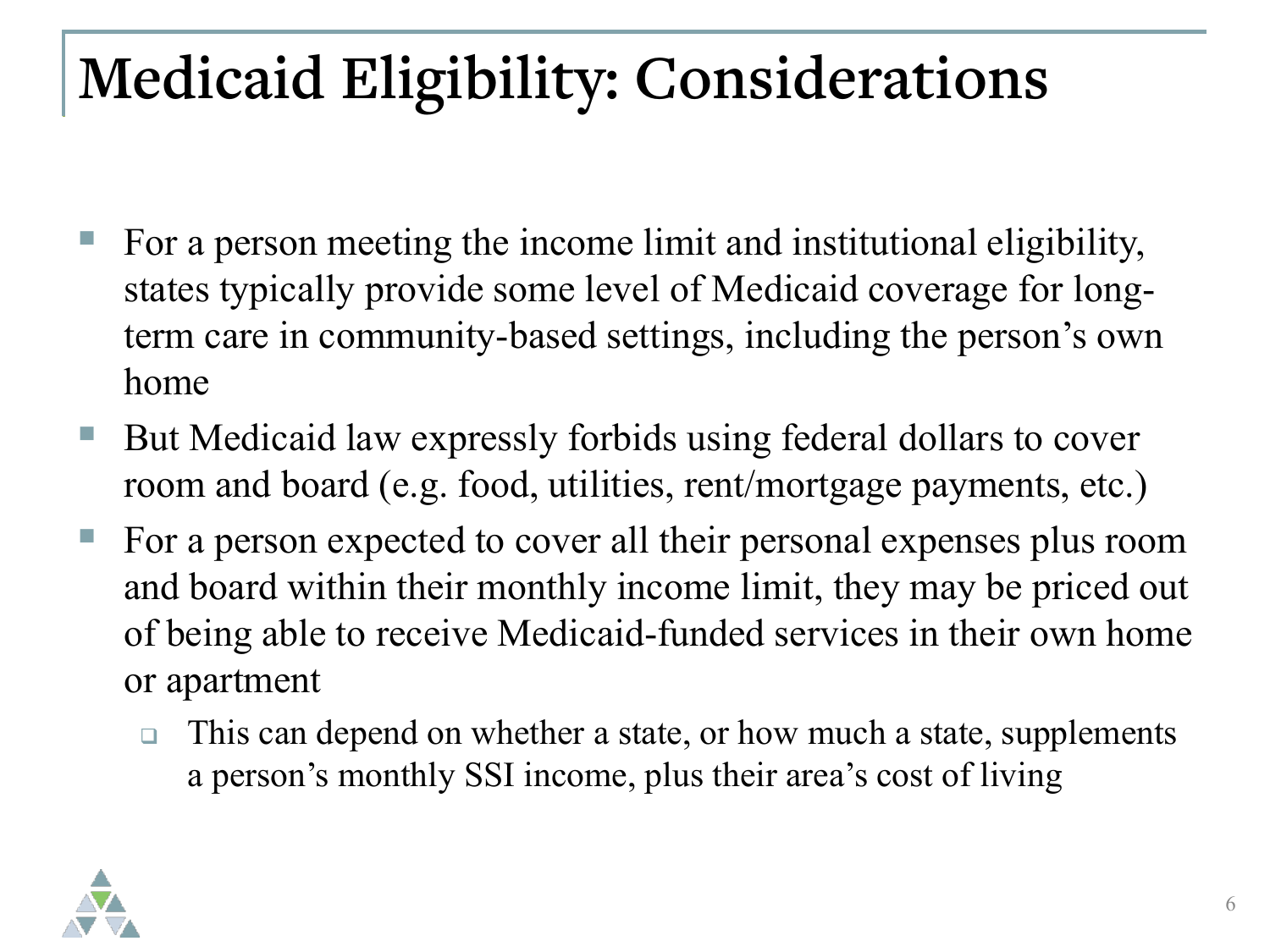## **Medicaid Eligibility: Considerations**

- For a person meeting the income limit and institutional eligibility, states typically provide some level of Medicaid coverage for longterm care in community-based settings, including the person's own home
- But Medicaid law expressly forbids using federal dollars to cover room and board (e.g. food, utilities, rent/mortgage payments, etc.)
- For a person expected to cover all their personal expenses plus room and board within their monthly income limit, they may be priced out of being able to receive Medicaid-funded services in their own home or apartment
	- $\Box$  This can depend on whether a state, or how much a state, supplements a person's monthly SSI income, plus their area's cost of living

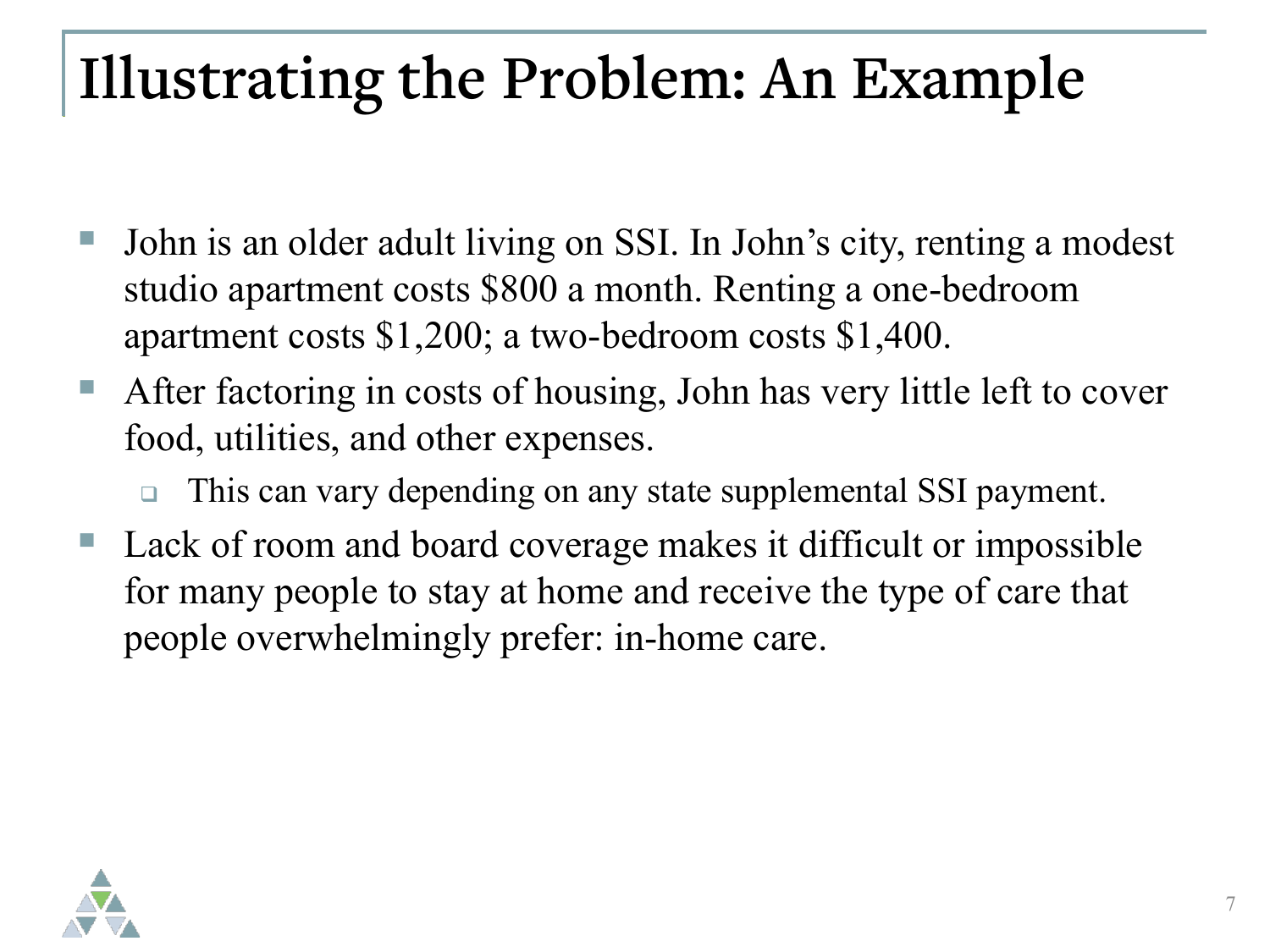#### **Illustrating the Problem: An Example**

- John is an older adult living on SSI. In John's city, renting a modest studio apartment costs \$800 a month. Renting a one-bedroom apartment costs \$1,200; a two-bedroom costs \$1,400.
- After factoring in costs of housing, John has very little left to cover food, utilities, and other expenses.
	- □ This can vary depending on any state supplemental SSI payment.
- Lack of room and board coverage makes it difficult or impossible for many people to stay at home and receive the type of care that people overwhelmingly prefer: in-home care.

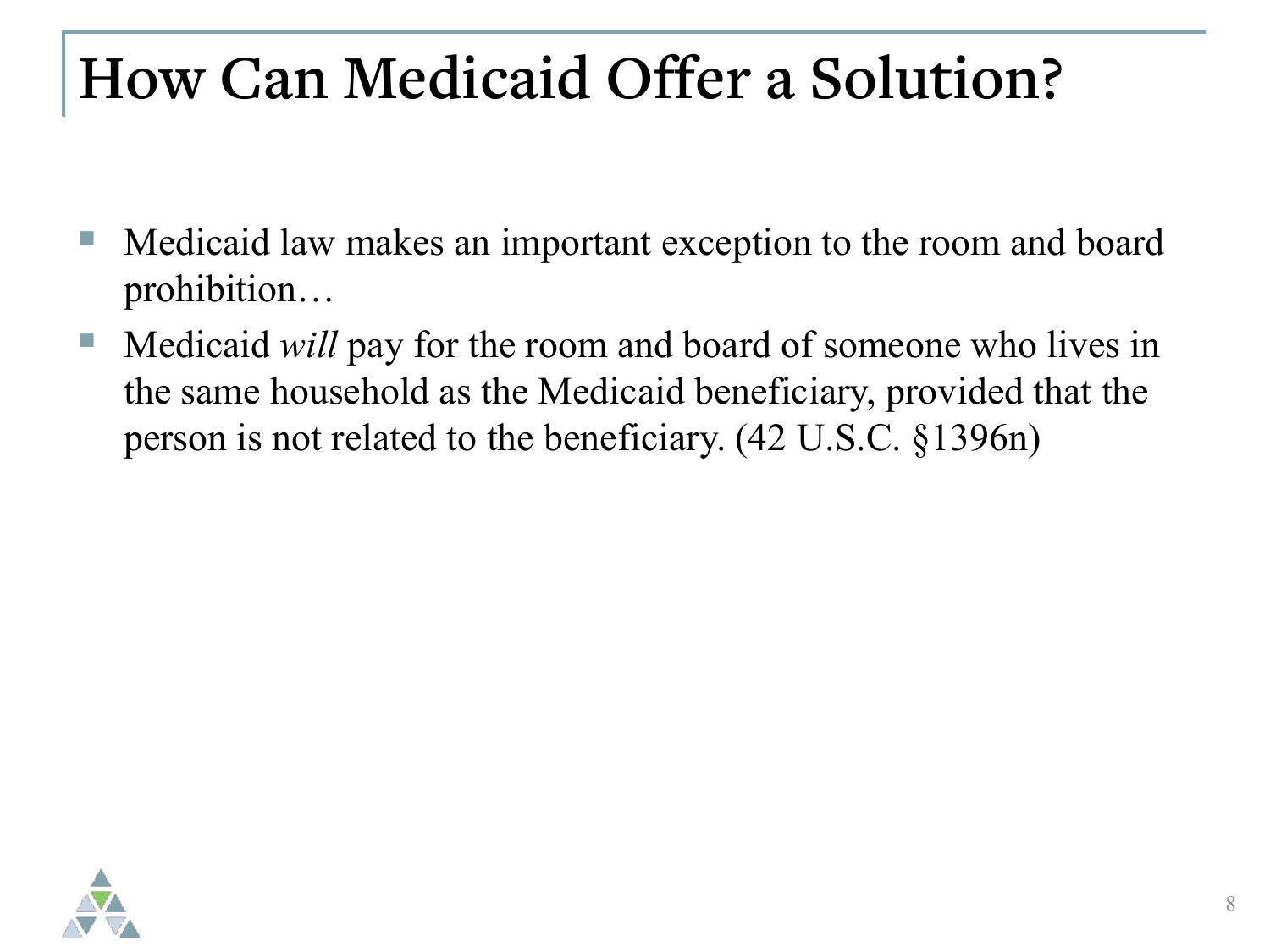#### **How Can Medicaid Offer a Solution?**

- Medicaid law makes an important exception to the room and board prohibition…
- Medicaid *will* pay for the room and board of someone who lives in the same household as the Medicaid beneficiary, provided that the person is not related to the beneficiary. (42 U.S.C. §1396n)

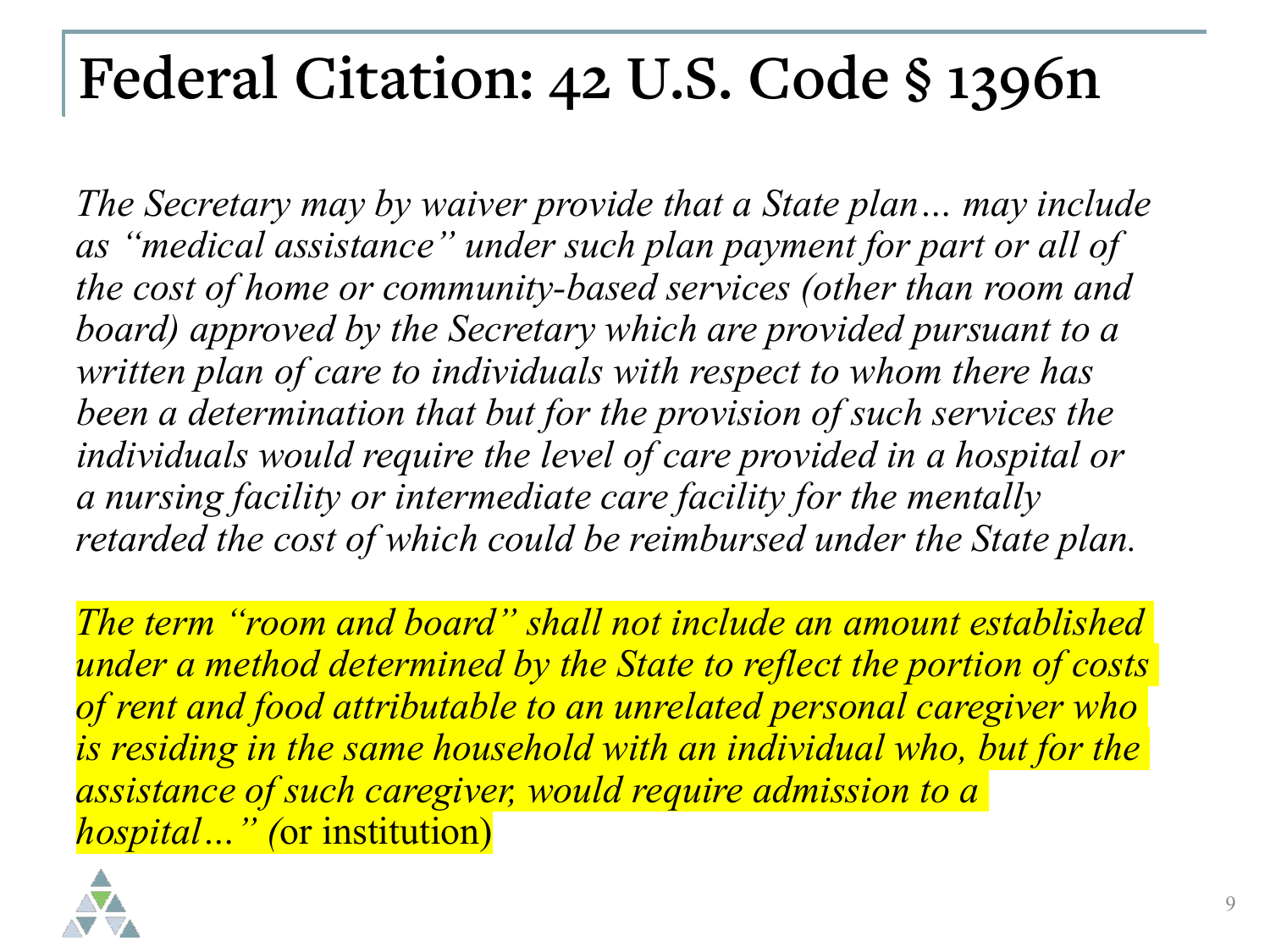#### **Federal Citation: 42 U.S. Code § 1396n**

*The Secretary may by waiver provide that a State plan… may include as "medical assistance" under such plan payment for part or all of the cost of home or community-based services (other than room and board) approved by the Secretary which are provided pursuant to a written plan of care to individuals with respect to whom there has been a determination that but for the provision of such services the individuals would require the level of care provided in a hospital or a nursing facility or intermediate care facility for the mentally retarded the cost of which could be reimbursed under the State plan.* 

*The term "room and board" shall not include an amount established under a method determined by the State to reflect the portion of costs of rent and food attributable to an unrelated personal caregiver who is residing in the same household with an individual who, but for the assistance of such caregiver, would require admission to a hospital…" (*or institution)

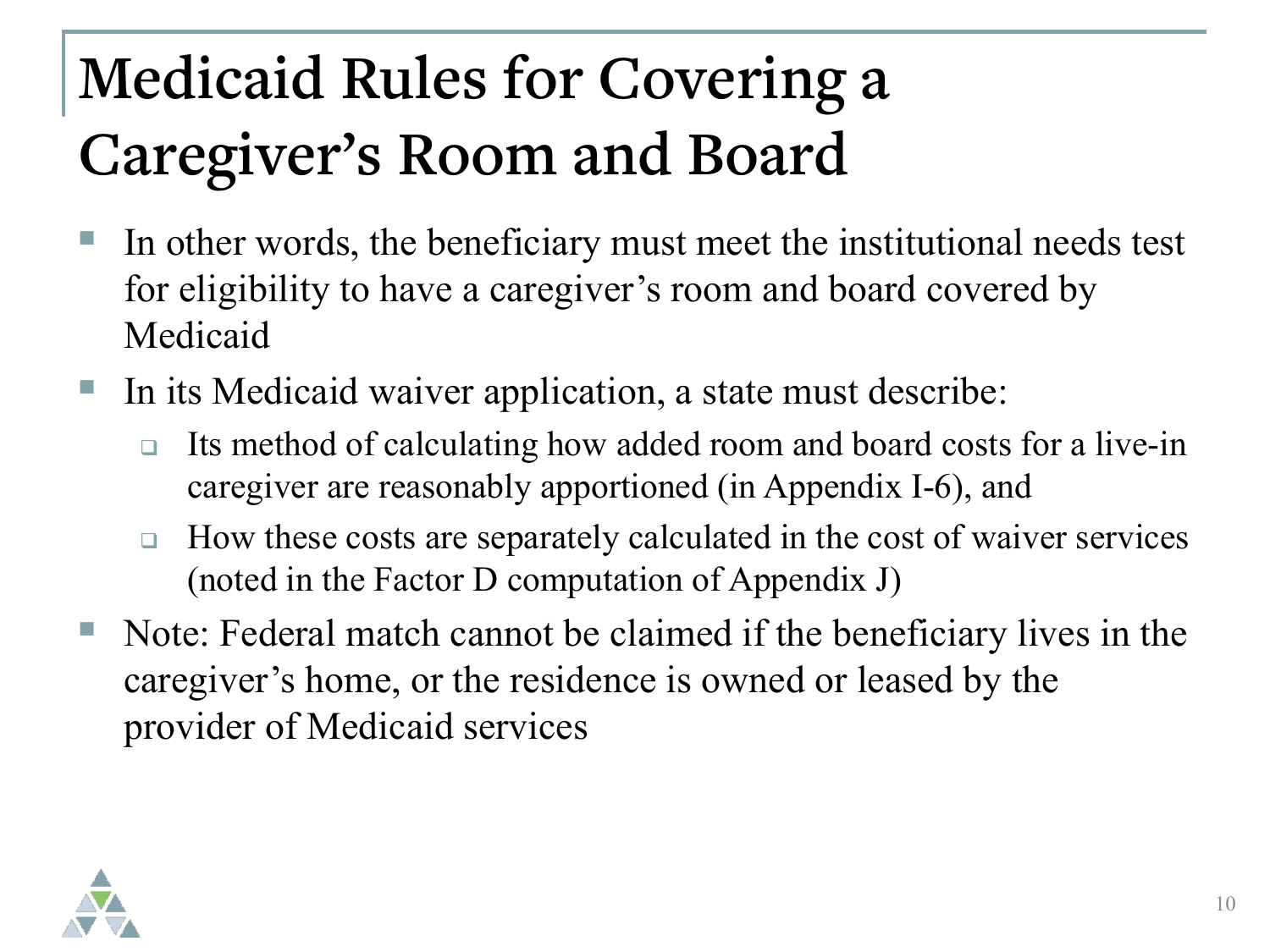# **Medicaid Rules for Covering a Caregiver's Room and Board**

- In other words, the beneficiary must meet the institutional needs test for eligibility to have a caregiver's room and board covered by Medicaid
- In its Medicaid waiver application, a state must describe:
	- □ Its method of calculating how added room and board costs for a live-in caregiver are reasonably apportioned (in Appendix I-6), and
	- $\Box$  How these costs are separately calculated in the cost of waiver services (noted in the Factor D computation of Appendix J)
- Note: Federal match cannot be claimed if the beneficiary lives in the caregiver's home, or the residence is owned or leased by the provider of Medicaid services

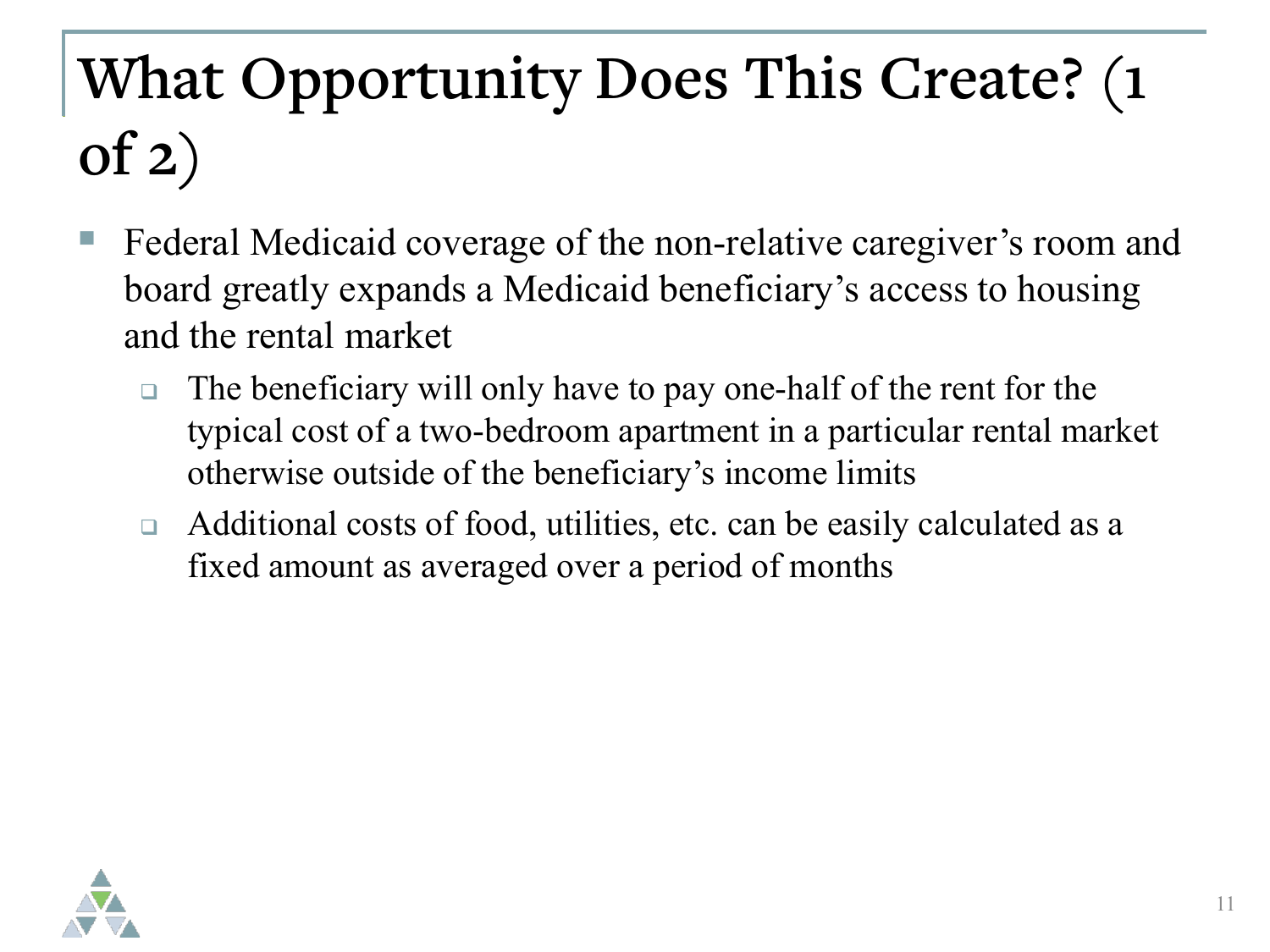# **What Opportunity Does This Create? (1 of 2)**

- Federal Medicaid coverage of the non-relative caregiver's room and board greatly expands a Medicaid beneficiary's access to housing and the rental market
	- $\Box$  The beneficiary will only have to pay one-half of the rent for the typical cost of a two-bedroom apartment in a particular rental market otherwise outside of the beneficiary's income limits
	- □ Additional costs of food, utilities, etc. can be easily calculated as a fixed amount as averaged over a period of months

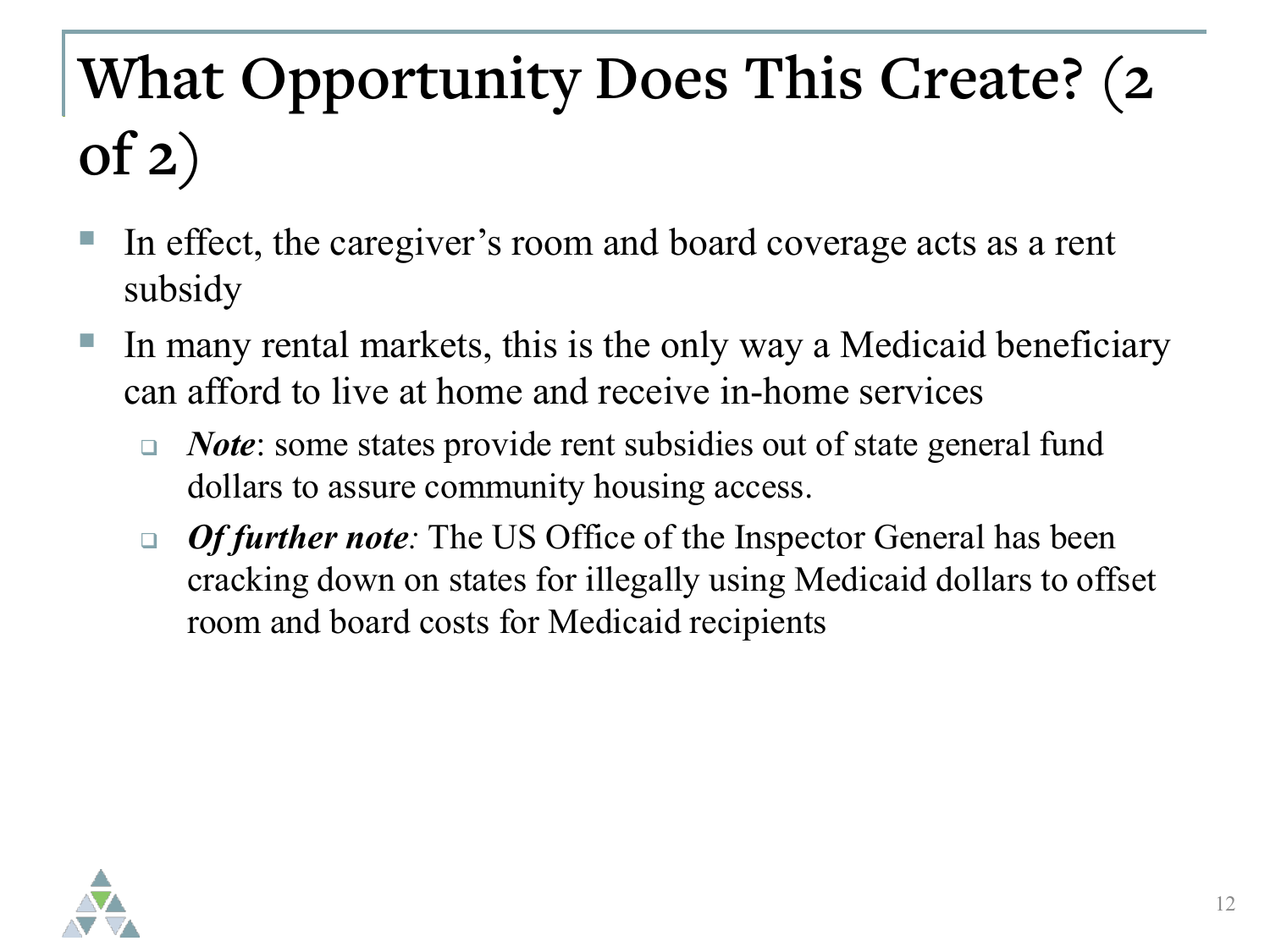# **What Opportunity Does This Create? (2 of 2)**

- In effect, the caregiver's room and board coverage acts as a rent subsidy
- In many rental markets, this is the only way a Medicaid beneficiary can afford to live at home and receive in-home services
	- *Note*: some states provide rent subsidies out of state general fund dollars to assure community housing access.
	- *Of further note:* The US Office of the Inspector General has been cracking down on states for illegally using Medicaid dollars to offset room and board costs for Medicaid recipients

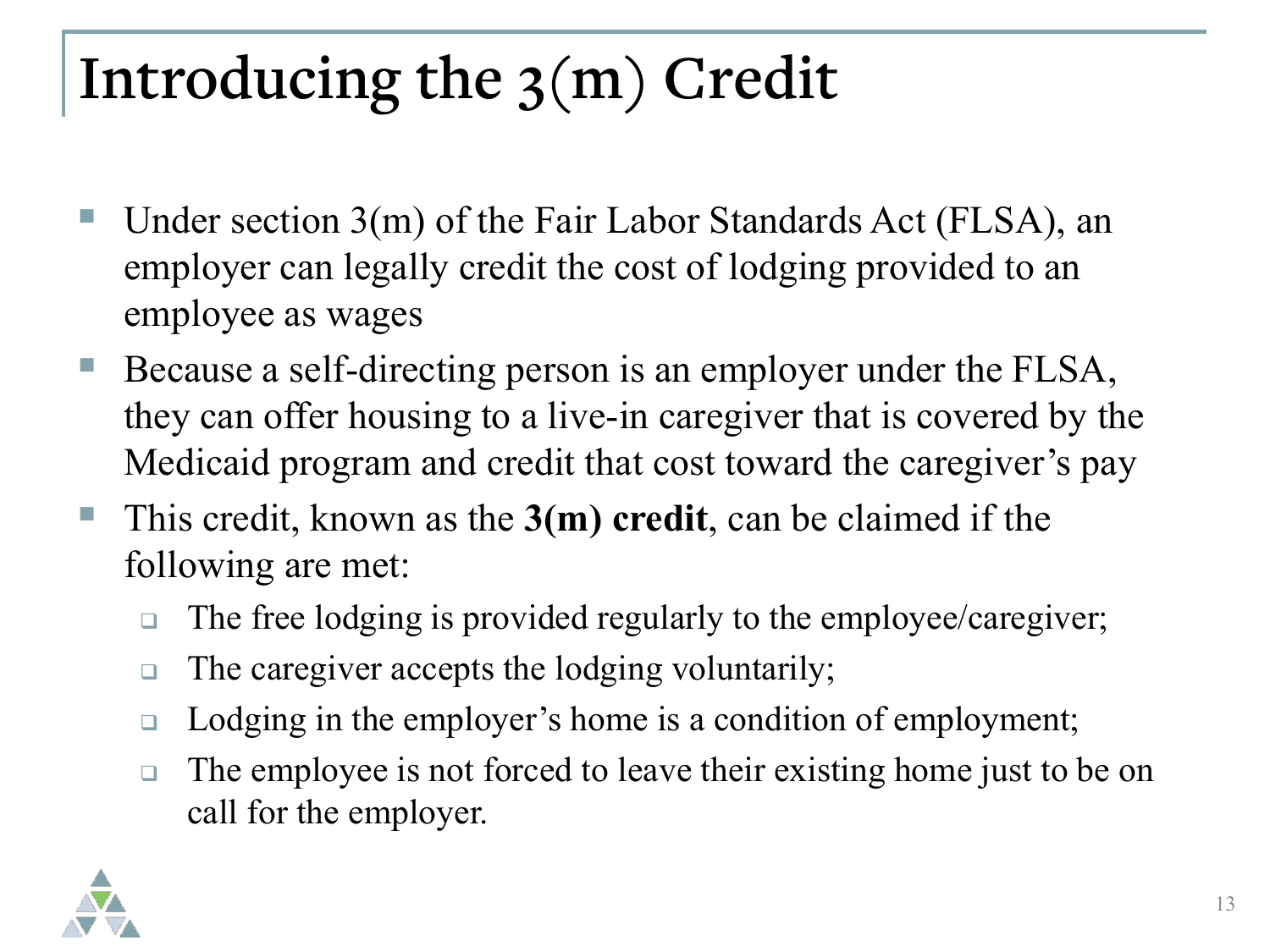## **Introducing the 3(m) Credit**

- Under section 3(m) of the Fair Labor Standards Act (FLSA), an employer can legally credit the cost of lodging provided to an employee as wages
- Because a self-directing person is an employer under the FLSA, they can offer housing to a live-in caregiver that is covered by the Medicaid program and credit that cost toward the caregiver's pay
- This credit, known as the **3(m) credit**, can be claimed if the following are met:
	- □ The free lodging is provided regularly to the employee/caregiver;
	- $\Box$  The caregiver accepts the lodging voluntarily;
	- □ Lodging in the employer's home is a condition of employment;
	- $\Box$  The employee is not forced to leave their existing home just to be on call for the employer.

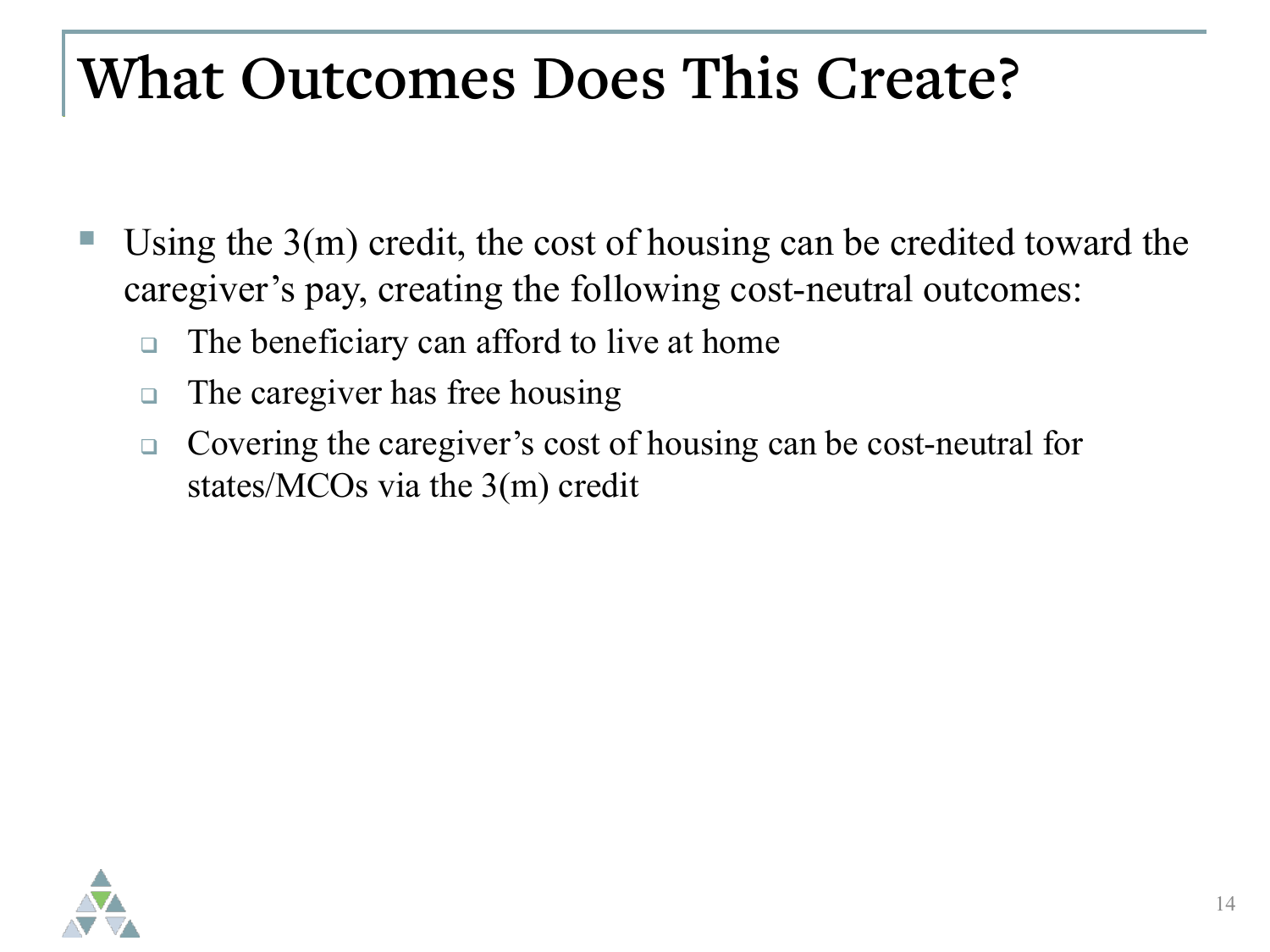#### **What Outcomes Does This Create?**

- Using the 3(m) credit, the cost of housing can be credited toward the caregiver's pay, creating the following cost-neutral outcomes:
	- $\Box$  The beneficiary can afford to live at home
	- □ The caregiver has free housing
	- □ Covering the caregiver's cost of housing can be cost-neutral for states/MCOs via the 3(m) credit

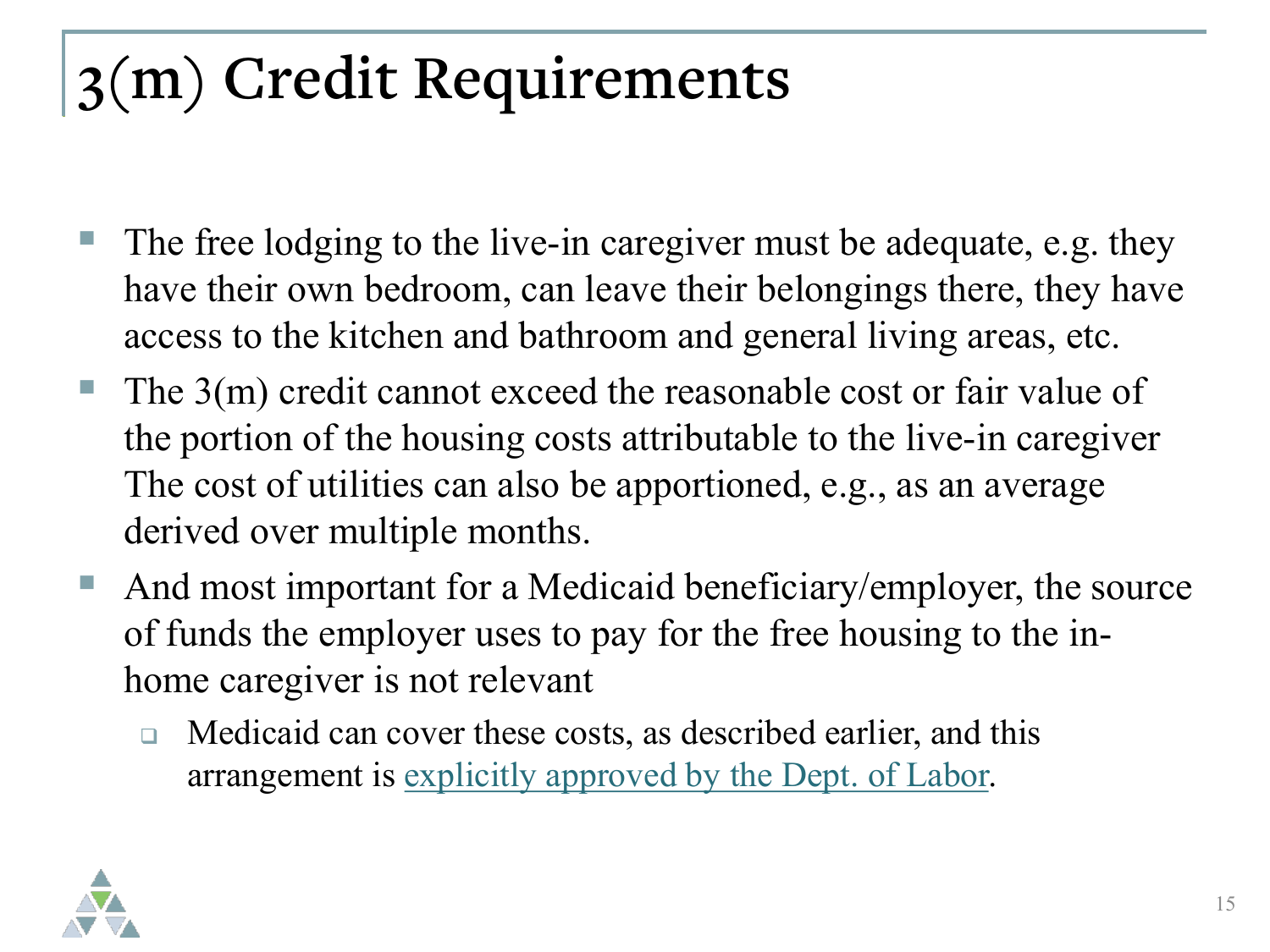## **3(m) Credit Requirements**

- The free lodging to the live-in caregiver must be adequate, e.g. they have their own bedroom, can leave their belongings there, they have access to the kitchen and bathroom and general living areas, etc.
- The 3(m) credit cannot exceed the reasonable cost or fair value of the portion of the housing costs attributable to the live-in caregiver The cost of utilities can also be apportioned, e.g., as an average derived over multiple months.
- And most important for a Medicaid beneficiary/employer, the source of funds the employer uses to pay for the free housing to the inhome caregiver is not relevant
	- □ Medicaid can cover these costs, as described earlier, and this arrangement is [explicitly approved by the Dept. of Labor.](https://www.dol.gov/agencies/whd/direct-care/credit-wages/faq#11)

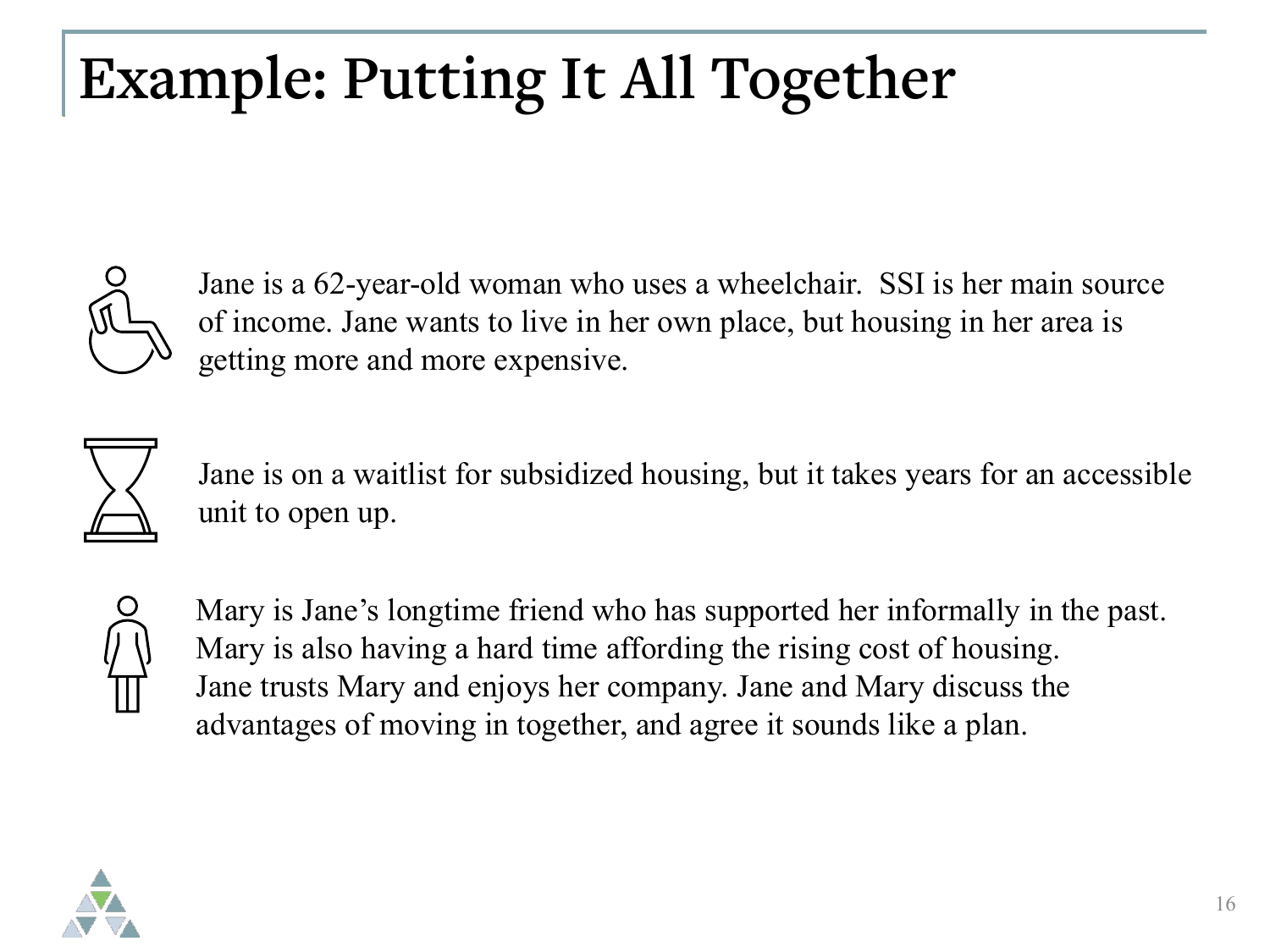## **Example: Putting It All Together**



Jane is a 62-year-old woman who uses a wheelchair. SSI is her main source of income. Jane wants to live in her own place, but housing in her area is getting more and more expensive.



Jane is on a waitlist for subsidized housing, but it takes years for an accessible unit to open up.



Mary is Jane's longtime friend who has supported her informally in the past. Mary is also having a hard time affording the rising cost of housing. Jane trusts Mary and enjoys her company. Jane and Mary discuss the advantages of moving in together, and agree it sounds like a plan.

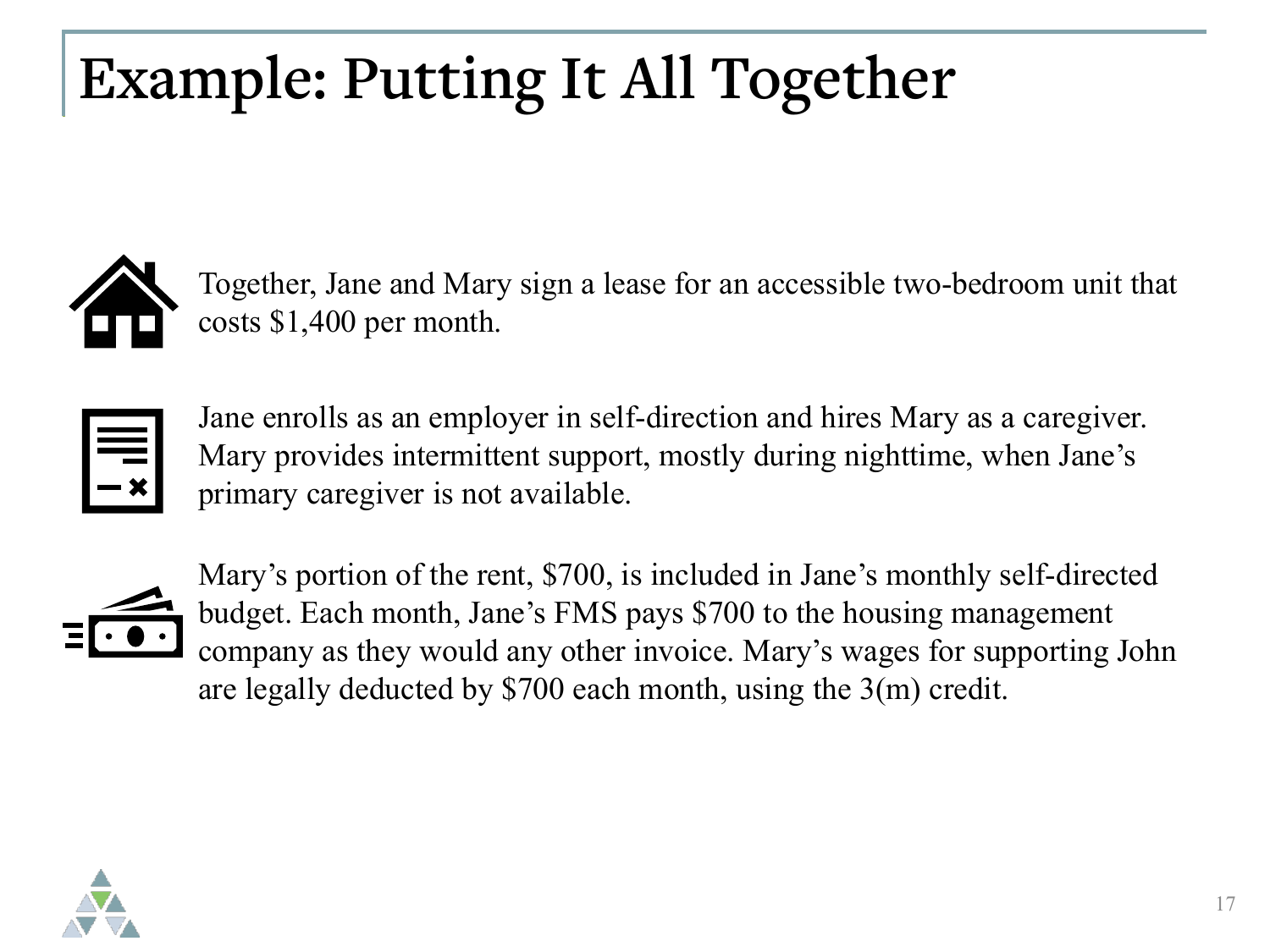## **Example: Putting It All Together**



Together, Jane and Mary sign a lease for an accessible two-bedroom unit that costs \$1,400 per month.

Jane enrolls as an employer in self-direction and hires Mary as a caregiver. Mary provides intermittent support, mostly during nighttime, when Jane's primary caregiver is not available.



Mary's portion of the rent, \$700, is included in Jane's monthly self-directed budget. Each month, Jane's FMS pays \$700 to the housing management company as they would any other invoice. Mary's wages for supporting John are legally deducted by \$700 each month, using the 3(m) credit.

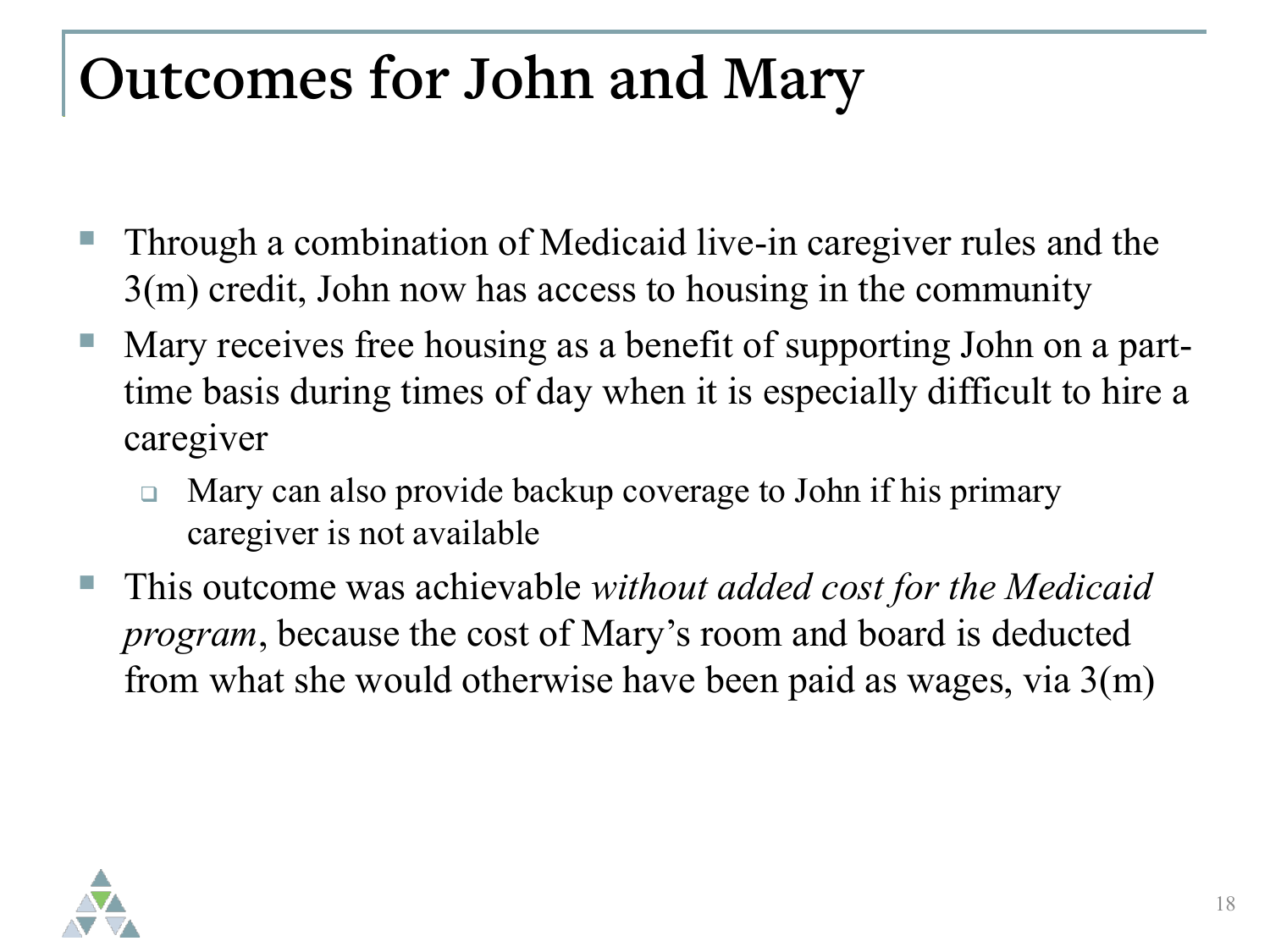#### **Outcomes for John and Mary**

- Through a combination of Medicaid live-in caregiver rules and the 3(m) credit, John now has access to housing in the community
- Mary receives free housing as a benefit of supporting John on a parttime basis during times of day when it is especially difficult to hire a caregiver
	- □ Mary can also provide backup coverage to John if his primary caregiver is not available
- This outcome was achievable *without added cost for the Medicaid program*, because the cost of Mary's room and board is deducted from what she would otherwise have been paid as wages, via 3(m)

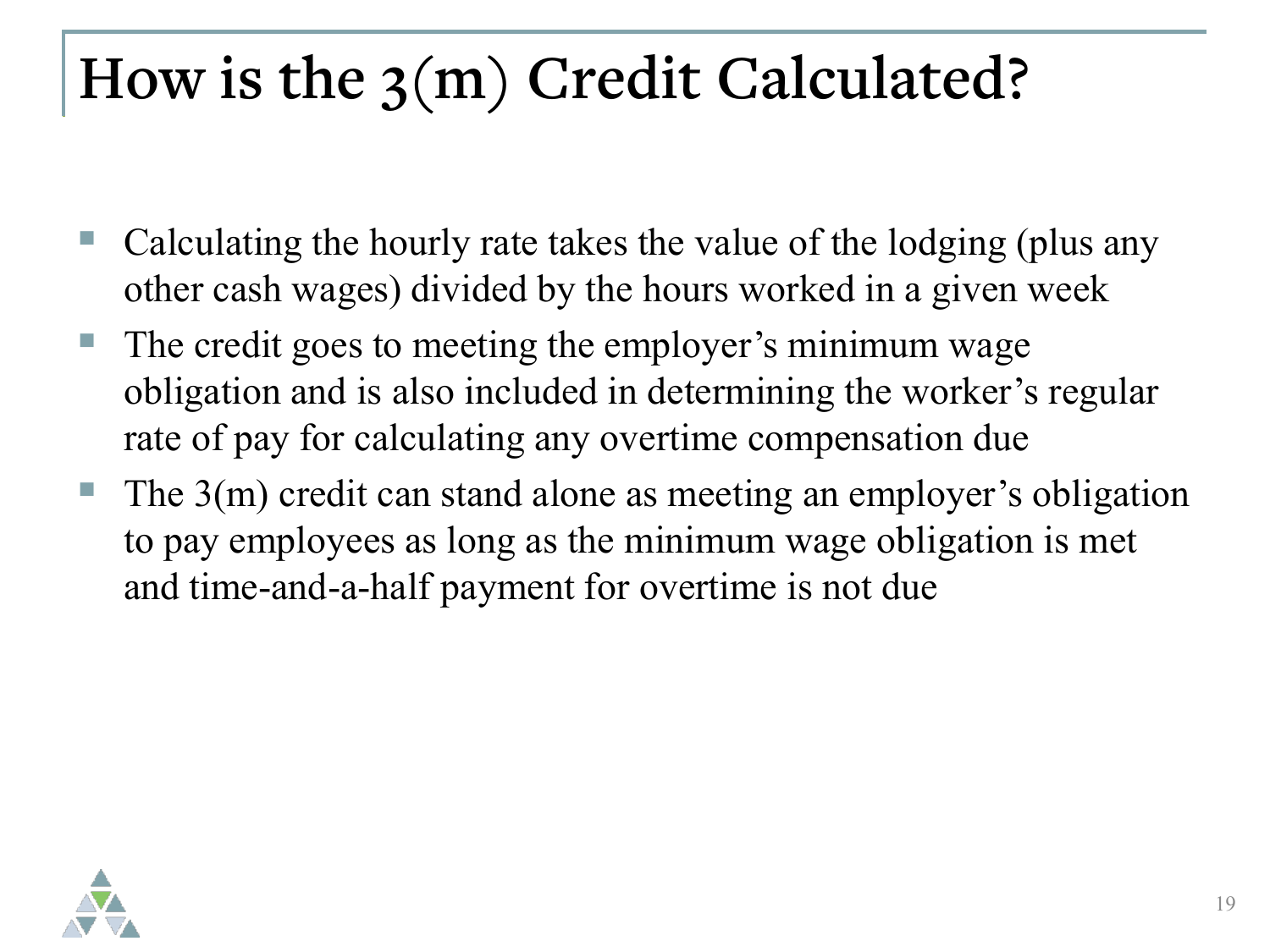#### **How is the 3(m) Credit Calculated?**

- Calculating the hourly rate takes the value of the lodging (plus any other cash wages) divided by the hours worked in a given week
- The credit goes to meeting the employer's minimum wage obligation and is also included in determining the worker's regular rate of pay for calculating any overtime compensation due
- The 3(m) credit can stand alone as meeting an employer's obligation to pay employees as long as the minimum wage obligation is met and time-and-a-half payment for overtime is not due

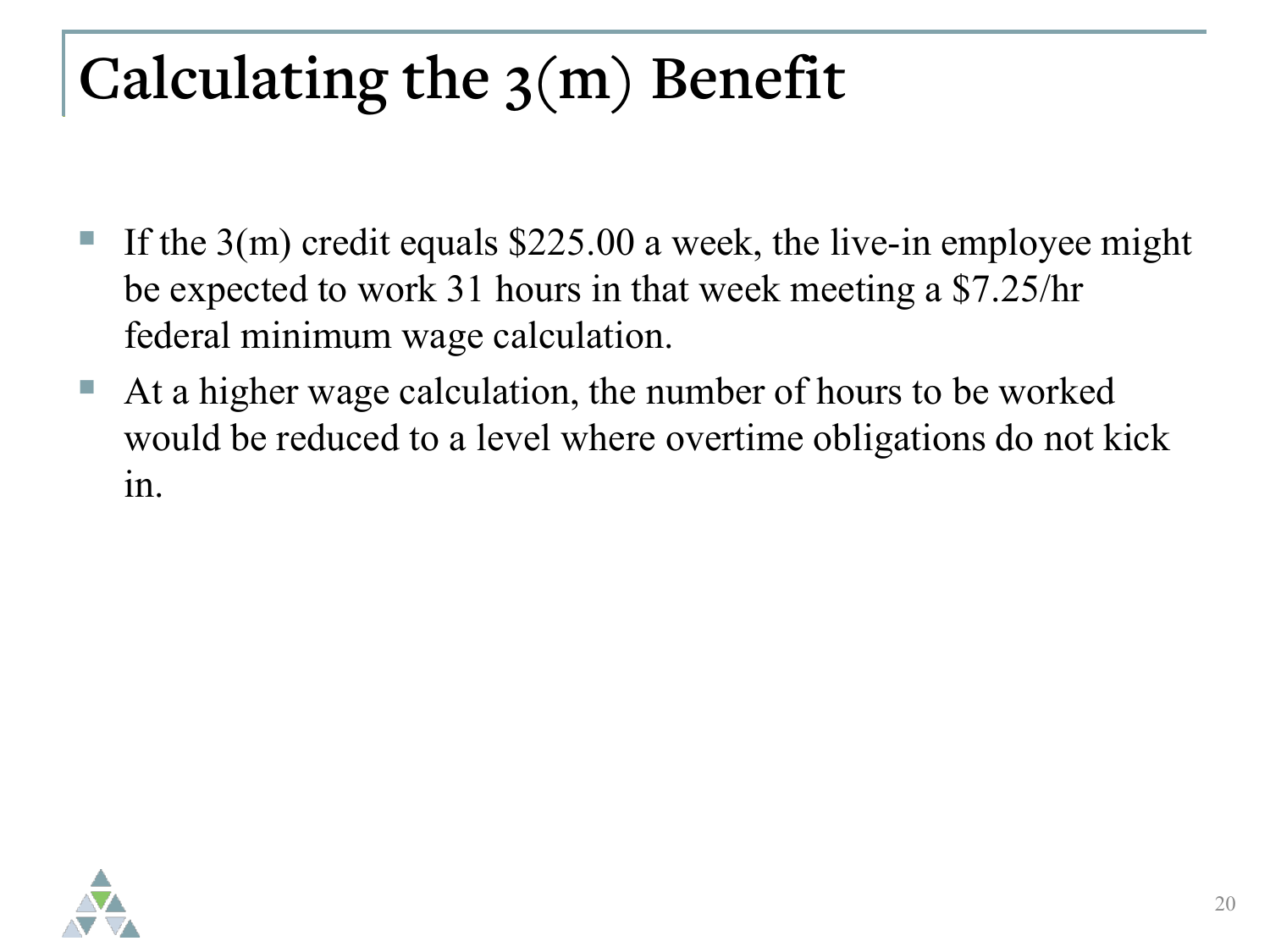## **Calculating the 3(m) Benefit**

- If the 3(m) credit equals \$225.00 a week, the live-in employee might be expected to work 31 hours in that week meeting a \$7.25/hr federal minimum wage calculation.
- At a higher wage calculation, the number of hours to be worked would be reduced to a level where overtime obligations do not kick in.

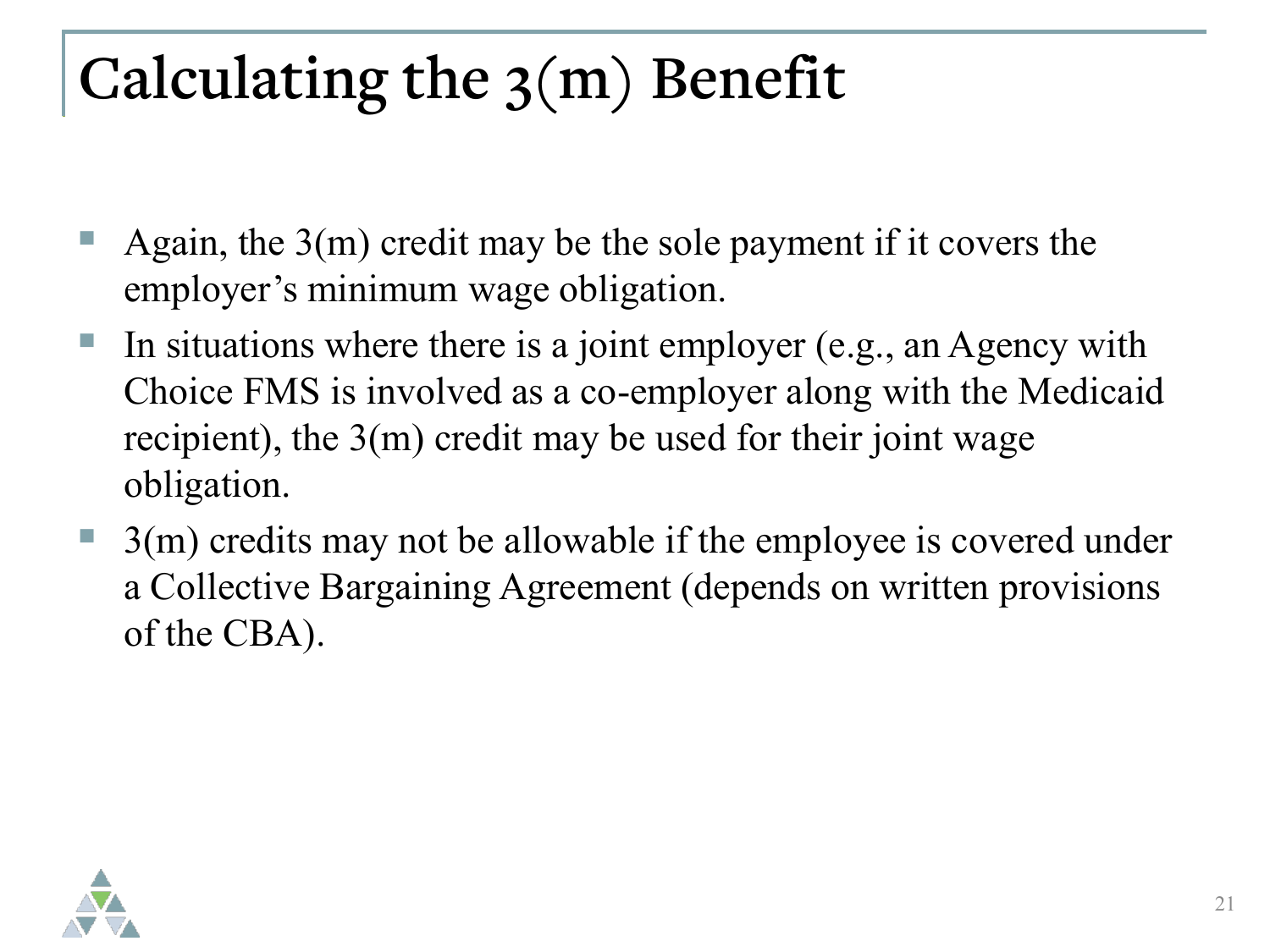## **Calculating the 3(m) Benefit**

- Again, the 3(m) credit may be the sole payment if it covers the employer's minimum wage obligation.
- In situations where there is a joint employer (e.g., an Agency with Choice FMS is involved as a co-employer along with the Medicaid recipient), the 3(m) credit may be used for their joint wage obligation.
- 3(m) credits may not be allowable if the employee is covered under a Collective Bargaining Agreement (depends on written provisions of the CBA).

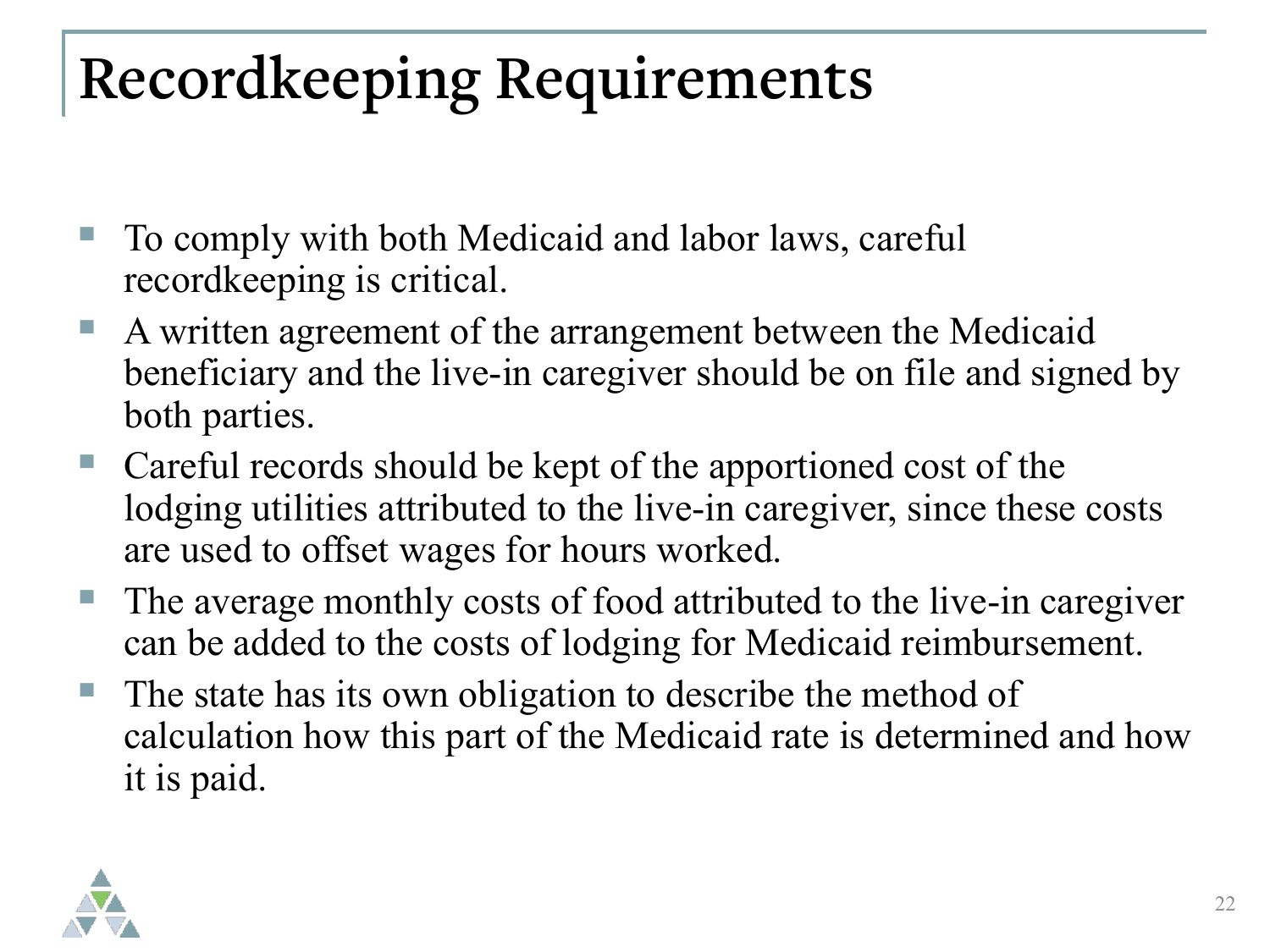## **Recordkeeping Requirements**

- To comply with both Medicaid and labor laws, careful recordkeeping is critical.
- A written agreement of the arrangement between the Medicaid beneficiary and the live-in caregiver should be on file and signed by both parties.
- Careful records should be kept of the apportioned cost of the lodging utilities attributed to the live-in caregiver, since these costs are used to offset wages for hours worked.
- The average monthly costs of food attributed to the live-in caregiver can be added to the costs of lodging for Medicaid reimbursement.
- The state has its own obligation to describe the method of calculation how this part of the Medicaid rate is determined and how it is paid.

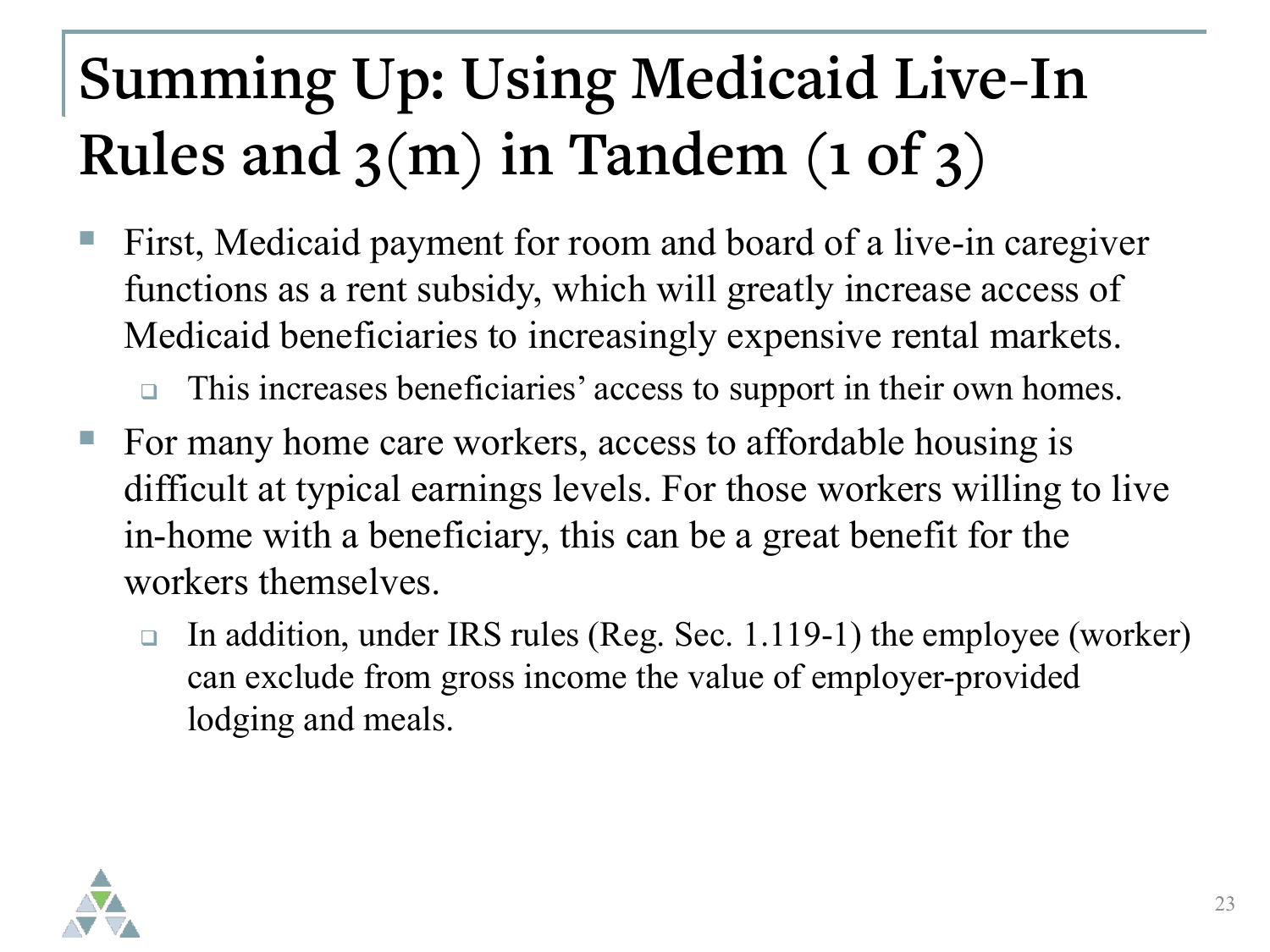## **Summing Up: Using Medicaid Live-In Rules and 3(m) in Tandem (1 of 3)**

- First, Medicaid payment for room and board of a live-in caregiver functions as a rent subsidy, which will greatly increase access of Medicaid beneficiaries to increasingly expensive rental markets.
	- This increases beneficiaries' access to support in their own homes.
- For many home care workers, access to affordable housing is difficult at typical earnings levels. For those workers willing to live in-home with a beneficiary, this can be a great benefit for the workers themselves.
	- In addition, under IRS rules (Reg. Sec. 1.119-1) the employee (worker) can exclude from gross income the value of employer-provided lodging and meals.

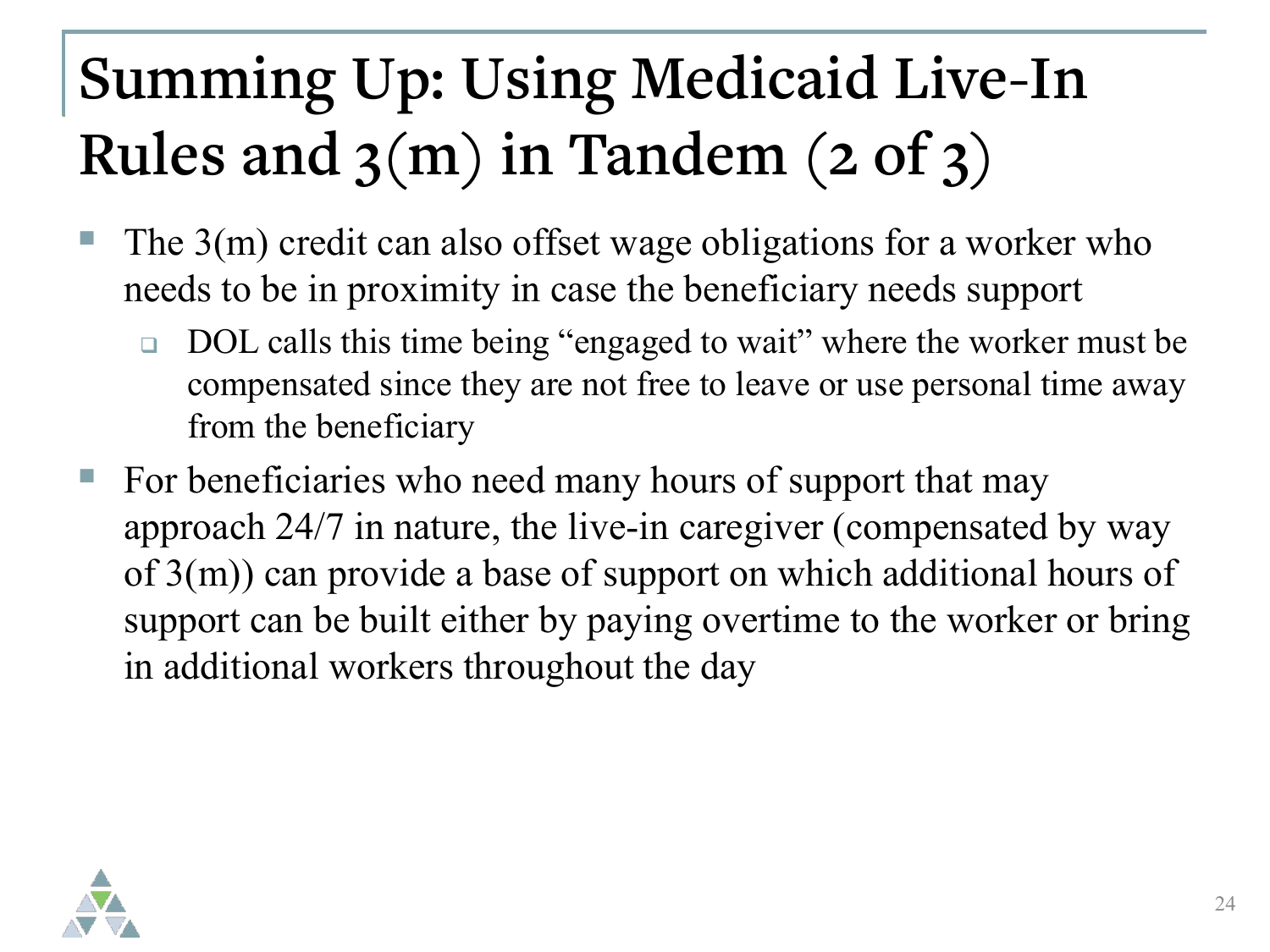## **Summing Up: Using Medicaid Live-In Rules and 3(m) in Tandem (2 of 3)**

- The 3(m) credit can also offset wage obligations for a worker who needs to be in proximity in case the beneficiary needs support
	- □ DOL calls this time being "engaged to wait" where the worker must be compensated since they are not free to leave or use personal time away from the beneficiary
- For beneficiaries who need many hours of support that may approach 24/7 in nature, the live-in caregiver (compensated by way of 3(m)) can provide a base of support on which additional hours of support can be built either by paying overtime to the worker or bring in additional workers throughout the day

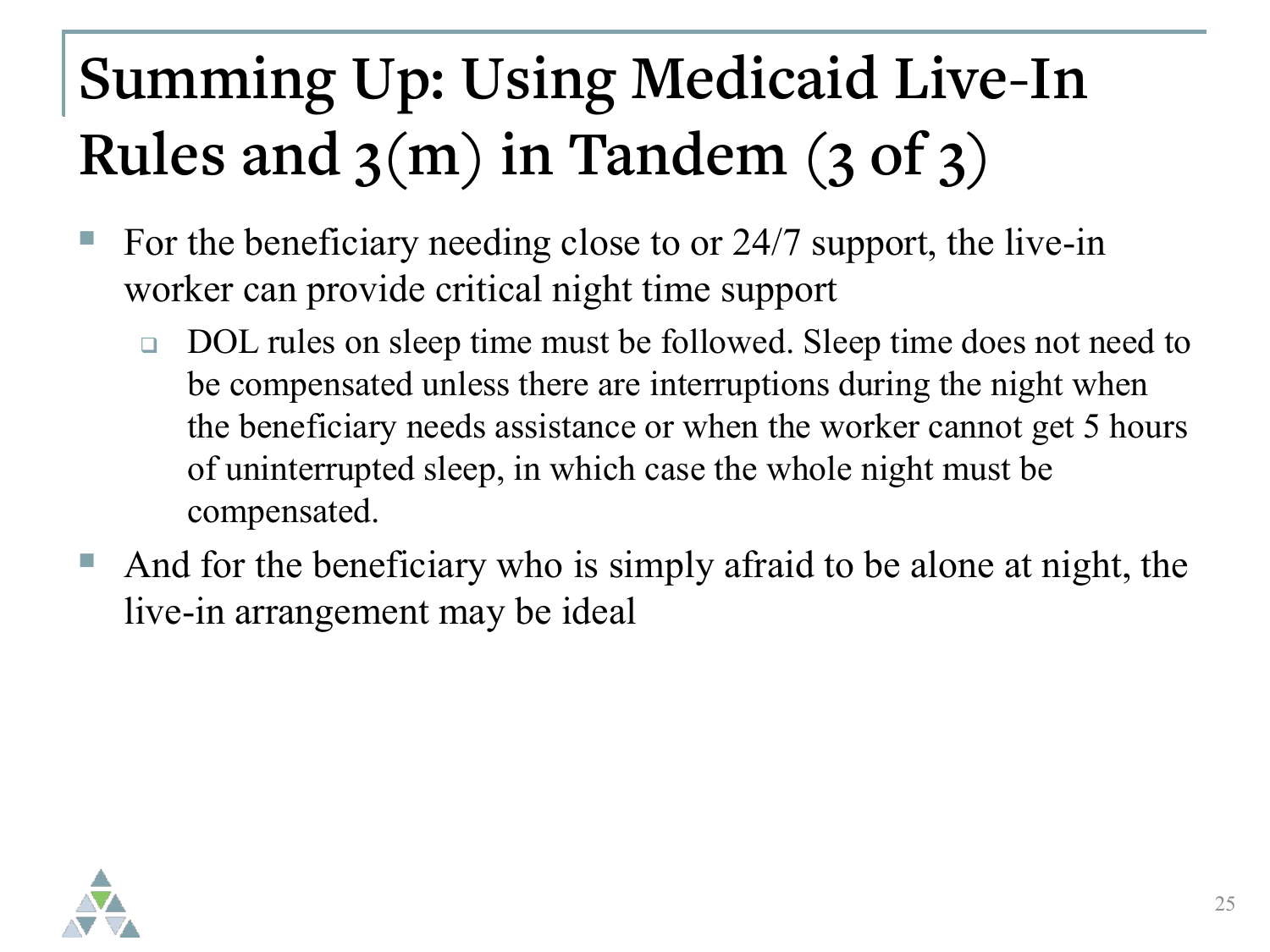# **Summing Up: Using Medicaid Live-In Rules and 3(m) in Tandem (3 of 3)**

- For the beneficiary needing close to or 24/7 support, the live-in worker can provide critical night time support
	- □ DOL rules on sleep time must be followed. Sleep time does not need to be compensated unless there are interruptions during the night when the beneficiary needs assistance or when the worker cannot get 5 hours of uninterrupted sleep, in which case the whole night must be compensated.
- And for the beneficiary who is simply afraid to be alone at night, the live-in arrangement may be ideal

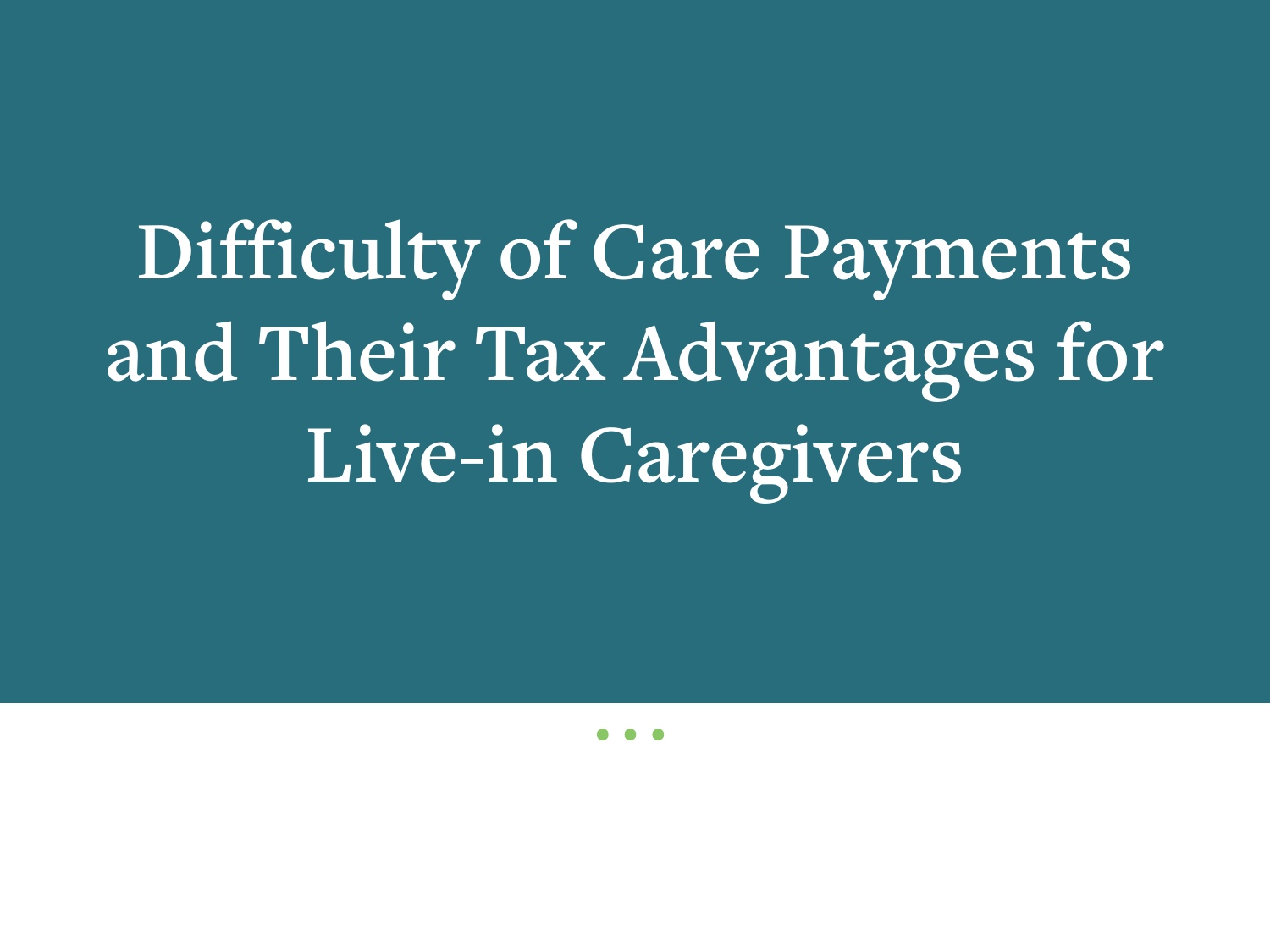**Difficulty of Care Payments and Their Tax Advantages for Live-in Caregivers**

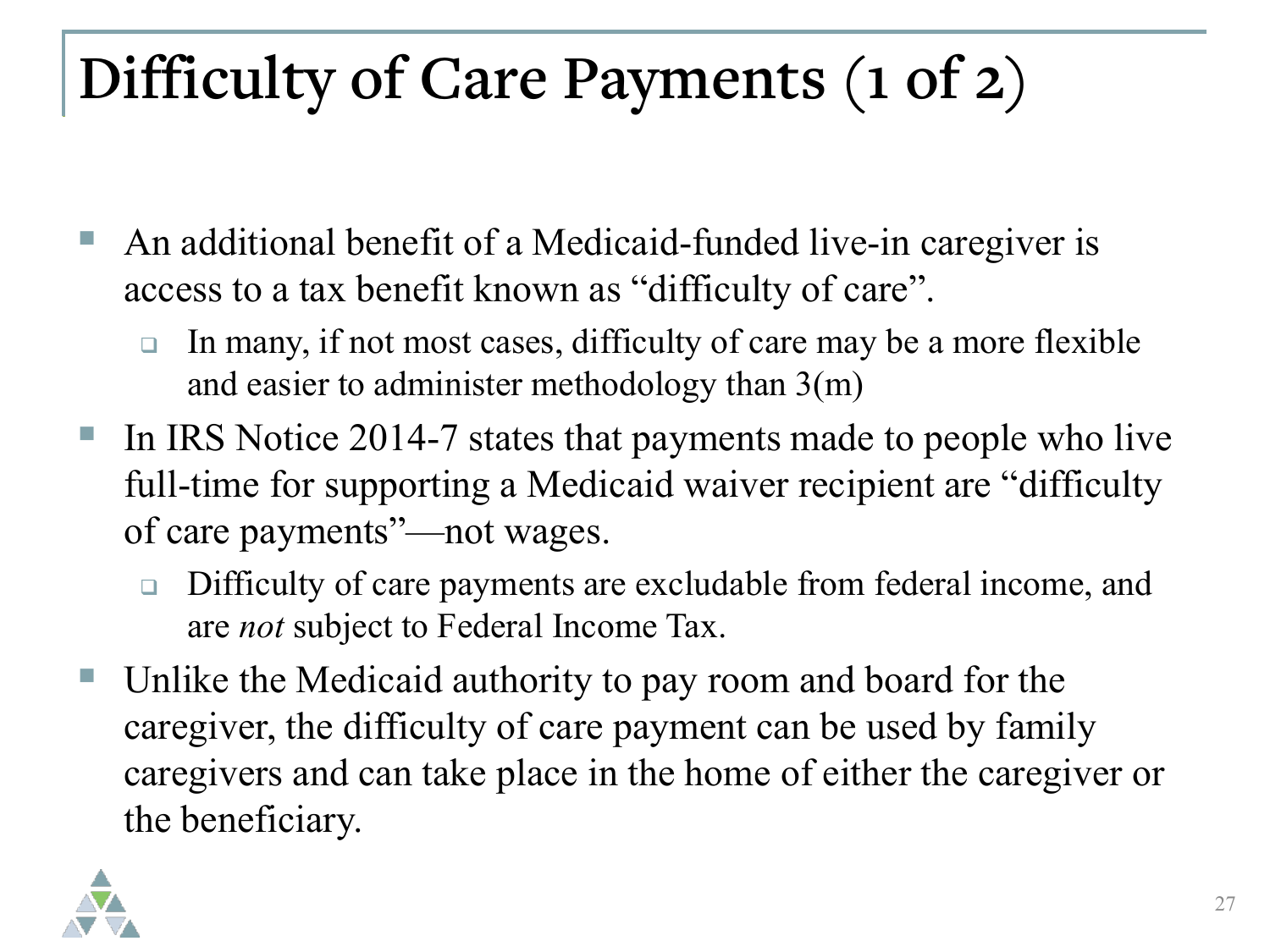## **Difficulty of Care Payments (1 of 2)**

- An additional benefit of a Medicaid-funded live-in caregiver is access to a tax benefit known as "difficulty of care".
	- In many, if not most cases, difficulty of care may be a more flexible and easier to administer methodology than 3(m)
- In IRS Notice 2014-7 states that payments made to people who live full-time for supporting a Medicaid waiver recipient are "difficulty of care payments"—not wages.
	- □ Difficulty of care payments are excludable from federal income, and are *not* subject to Federal Income Tax.
- Unlike the Medicaid authority to pay room and board for the caregiver, the difficulty of care payment can be used by family caregivers and can take place in the home of either the caregiver or the beneficiary.

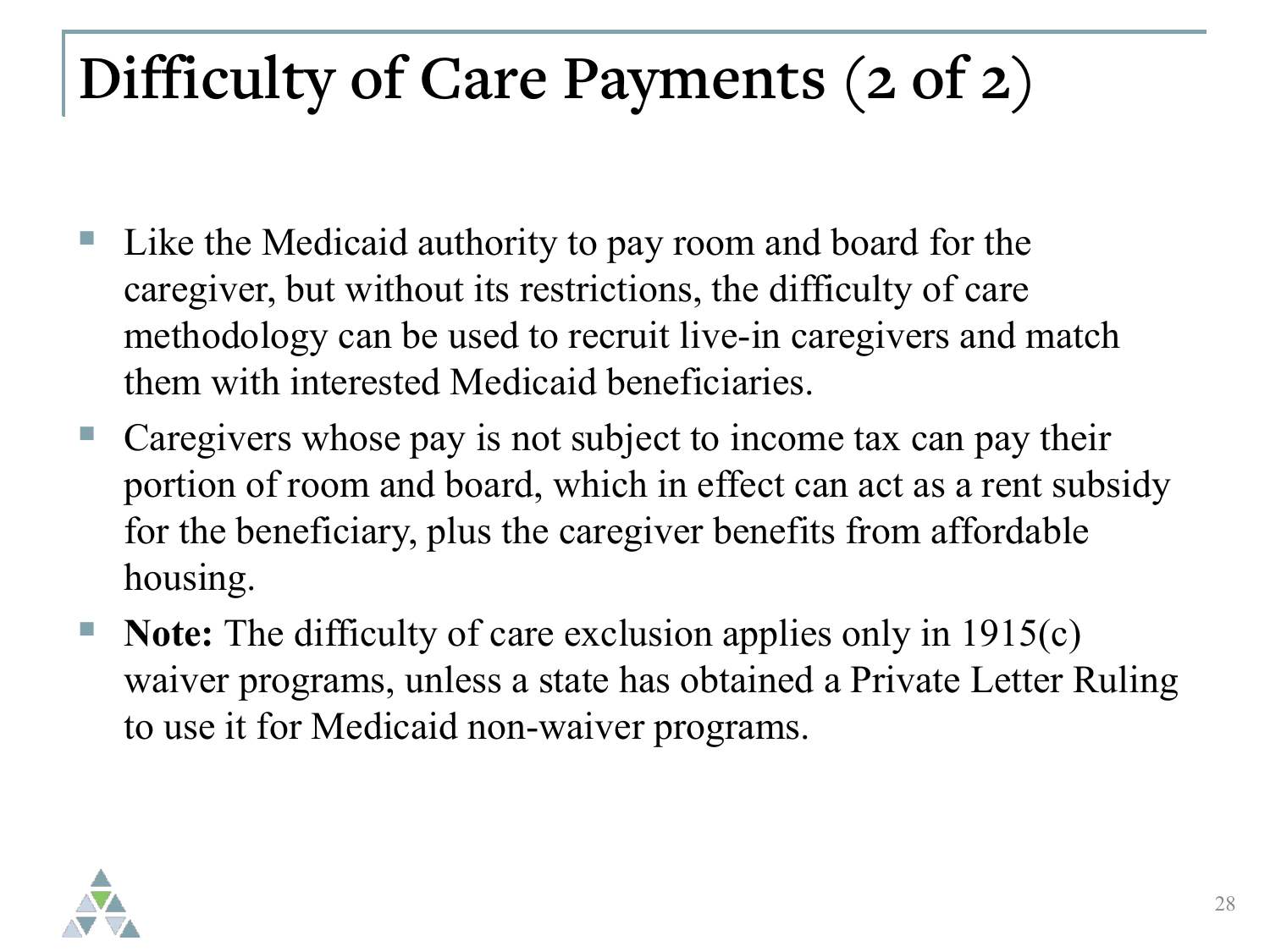#### **Difficulty of Care Payments (2 of 2)**

- Like the Medicaid authority to pay room and board for the caregiver, but without its restrictions, the difficulty of care methodology can be used to recruit live-in caregivers and match them with interested Medicaid beneficiaries.
- Caregivers whose pay is not subject to income tax can pay their portion of room and board, which in effect can act as a rent subsidy for the beneficiary, plus the caregiver benefits from affordable housing.
- **Note:** The difficulty of care exclusion applies only in 1915(c) waiver programs, unless a state has obtained a Private Letter Ruling to use it for Medicaid non-waiver programs.

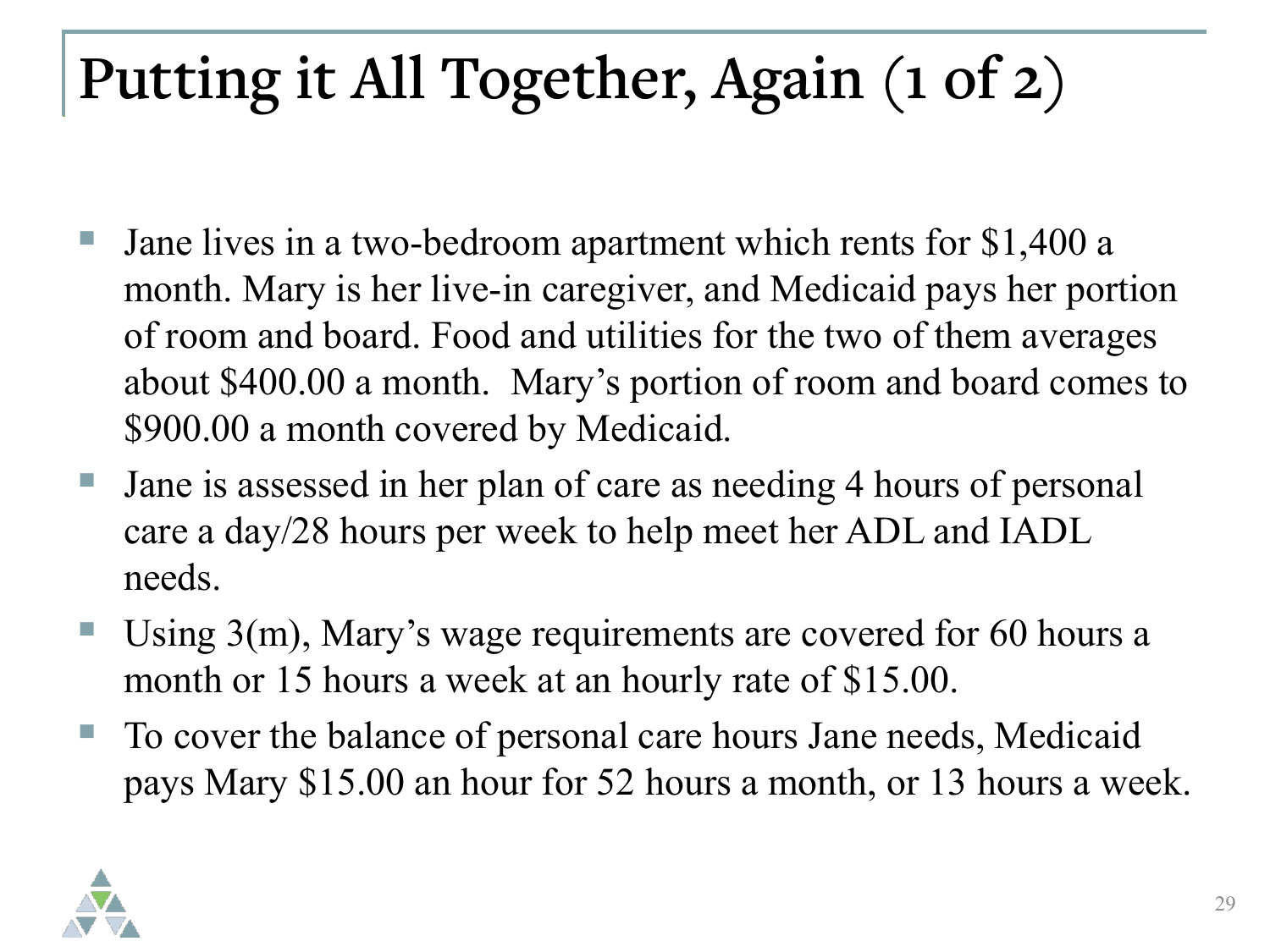## **Putting it All Together, Again (1 of 2)**

- Jane lives in a two-bedroom apartment which rents for \$1,400 a month. Mary is her live-in caregiver, and Medicaid pays her portion of room and board. Food and utilities for the two of them averages about \$400.00 a month. Mary's portion of room and board comes to \$900.00 a month covered by Medicaid.
- Jane is assessed in her plan of care as needing 4 hours of personal care a day/28 hours per week to help meet her ADL and IADL needs.
- Using 3(m), Mary's wage requirements are covered for 60 hours a month or 15 hours a week at an hourly rate of \$15.00.
- To cover the balance of personal care hours Jane needs, Medicaid pays Mary \$15.00 an hour for 52 hours a month, or 13 hours a week.

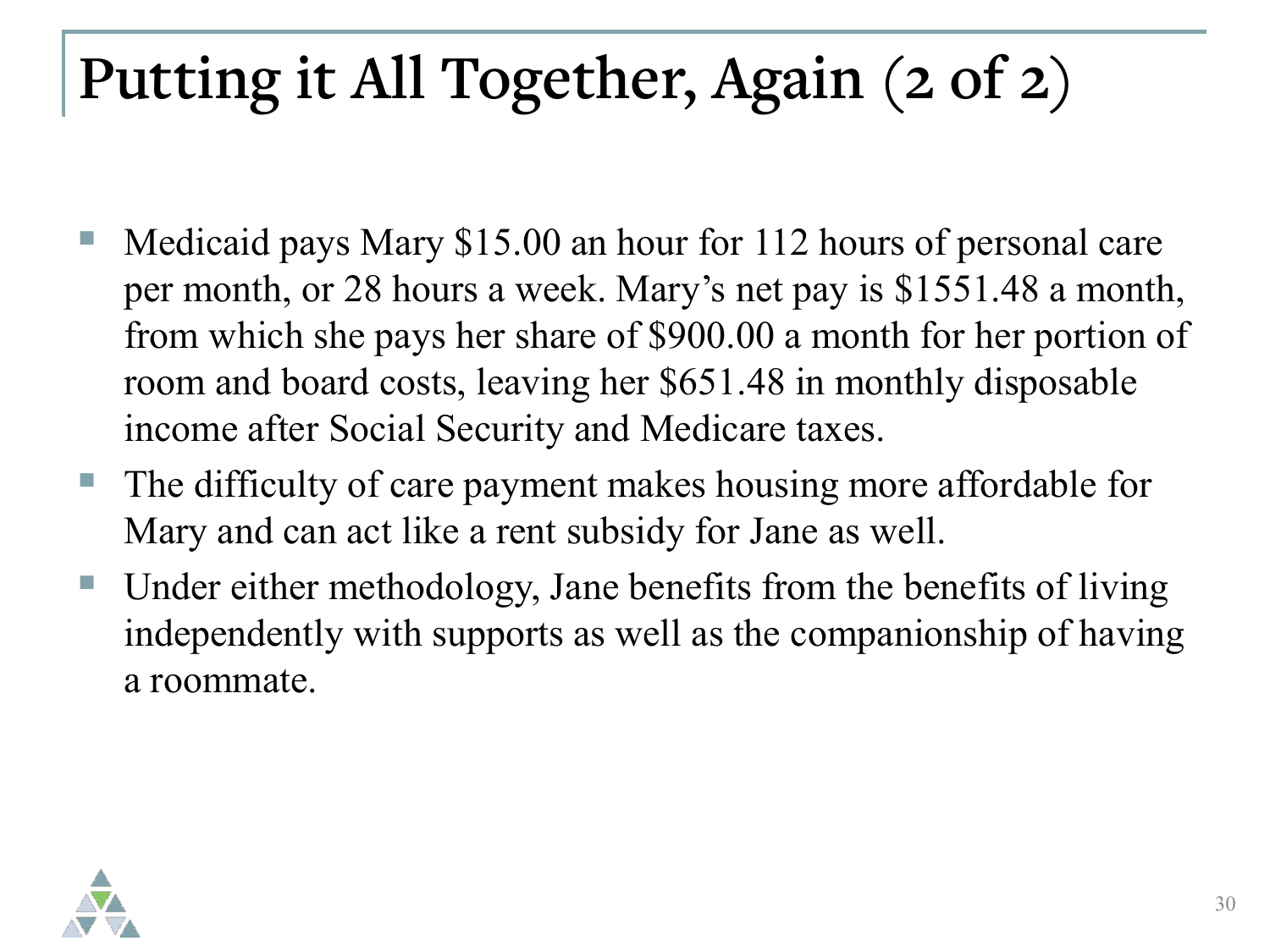### **Putting it All Together, Again (2 of 2)**

- Medicaid pays Mary \$15.00 an hour for 112 hours of personal care per month, or 28 hours a week. Mary's net pay is \$1551.48 a month, from which she pays her share of \$900.00 a month for her portion of room and board costs, leaving her \$651.48 in monthly disposable income after Social Security and Medicare taxes.
- The difficulty of care payment makes housing more affordable for Mary and can act like a rent subsidy for Jane as well.
- Under either methodology, Jane benefits from the benefits of living independently with supports as well as the companionship of having a roommate.

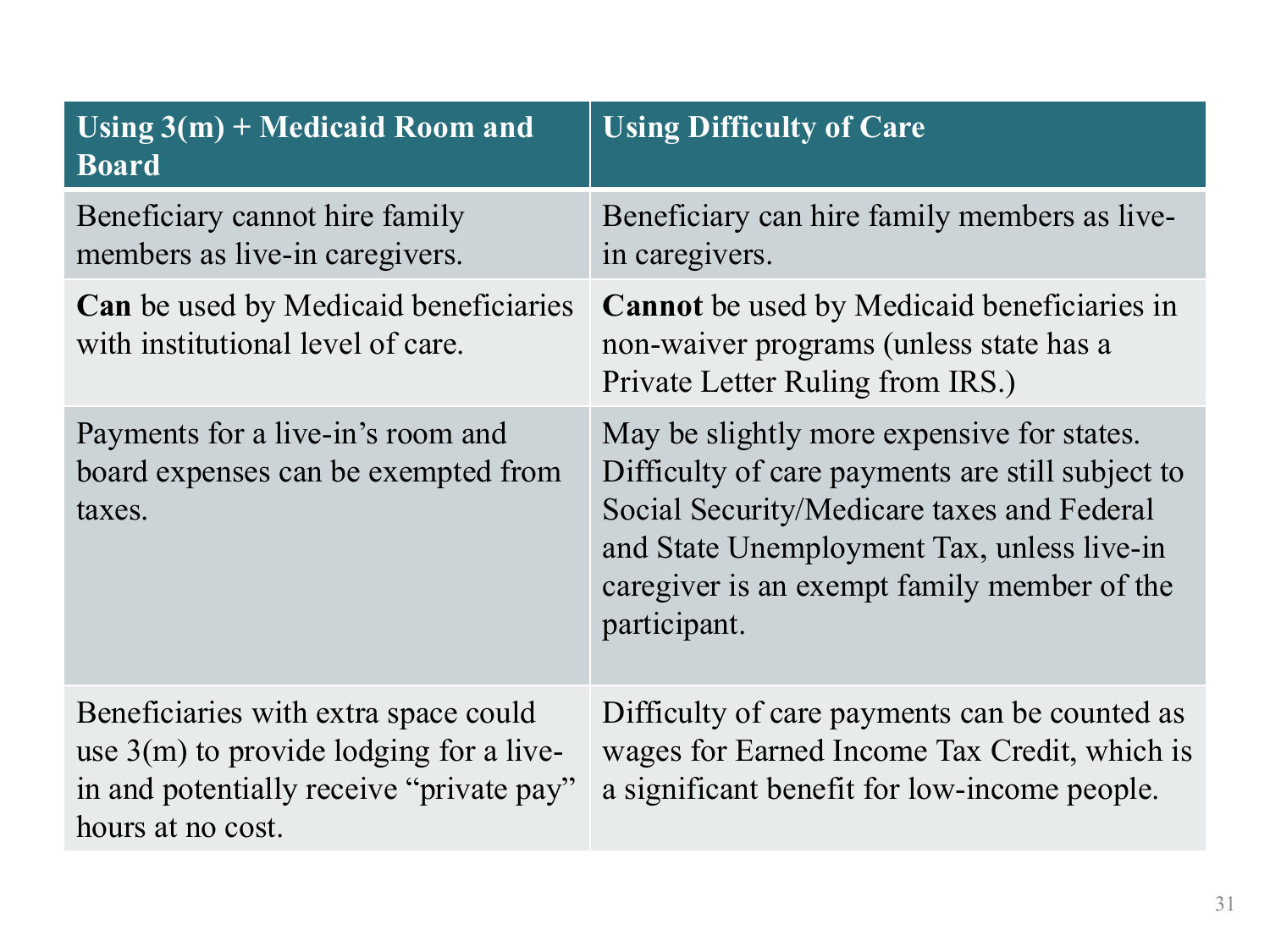| Using $3(m)$ + Medicaid Room and<br><b>Board</b>                                                                                                   | <b>Using Difficulty of Care</b>                                                                                                                                                                                                                           |
|----------------------------------------------------------------------------------------------------------------------------------------------------|-----------------------------------------------------------------------------------------------------------------------------------------------------------------------------------------------------------------------------------------------------------|
| Beneficiary cannot hire family<br>members as live-in caregivers.                                                                                   | Beneficiary can hire family members as live-<br>in caregivers.                                                                                                                                                                                            |
| <b>Can</b> be used by Medicaid beneficiaries<br>with institutional level of care.                                                                  | Cannot be used by Medicaid beneficiaries in<br>non-waiver programs (unless state has a<br>Private Letter Ruling from IRS.)                                                                                                                                |
| Payments for a live-in's room and<br>board expenses can be exempted from<br>taxes.                                                                 | May be slightly more expensive for states.<br>Difficulty of care payments are still subject to<br>Social Security/Medicare taxes and Federal<br>and State Unemployment Tax, unless live-in<br>caregiver is an exempt family member of the<br>participant. |
| Beneficiaries with extra space could<br>use $3(m)$ to provide lodging for a live-<br>in and potentially receive "private pay"<br>hours at no cost. | Difficulty of care payments can be counted as<br>wages for Earned Income Tax Credit, which is<br>a significant benefit for low-income people.                                                                                                             |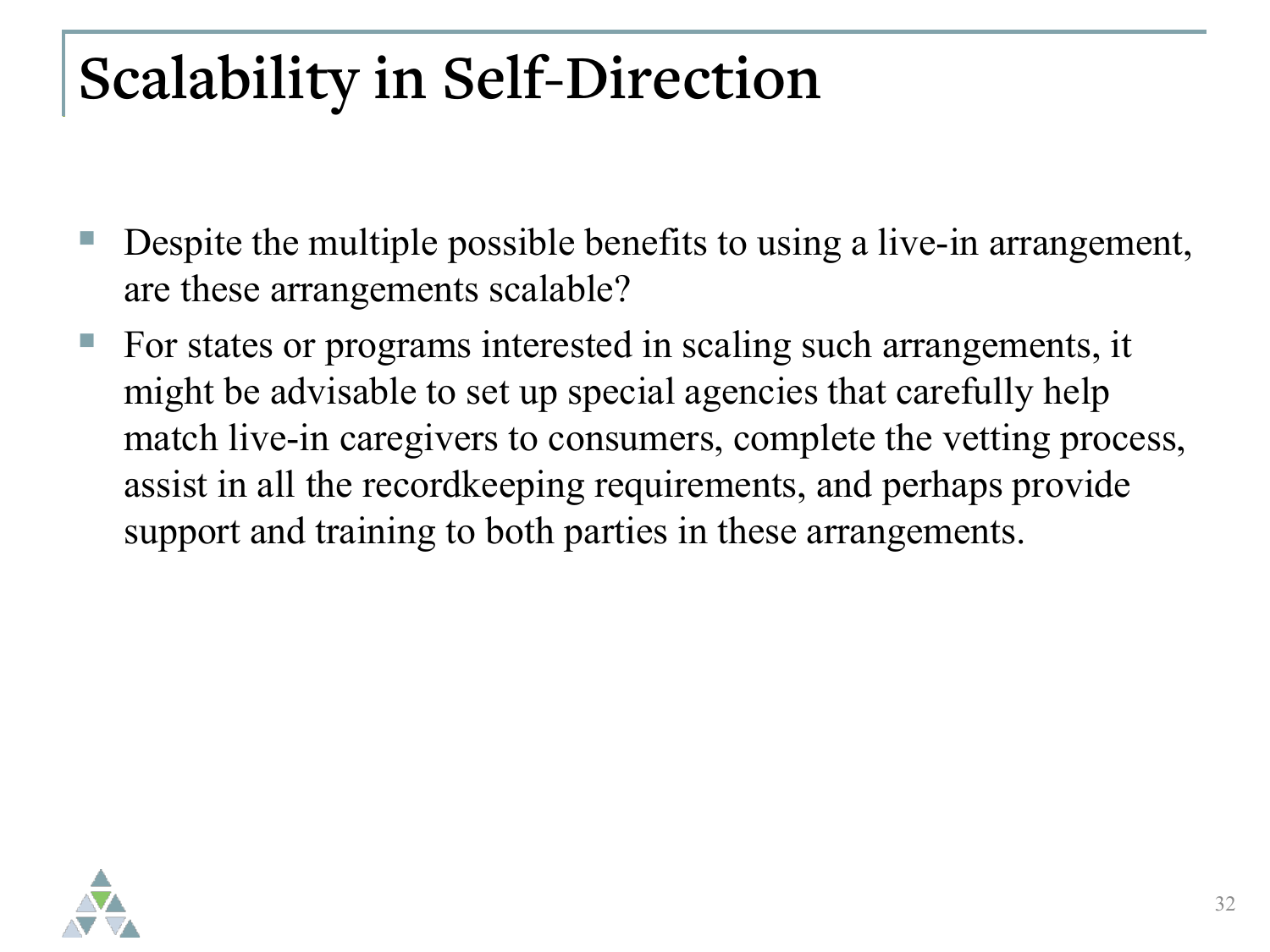#### **Scalability in Self-Direction**

- Despite the multiple possible benefits to using a live-in arrangement, are these arrangements scalable?
- For states or programs interested in scaling such arrangements, it might be advisable to set up special agencies that carefully help match live-in caregivers to consumers, complete the vetting process, assist in all the recordkeeping requirements, and perhaps provide support and training to both parties in these arrangements.

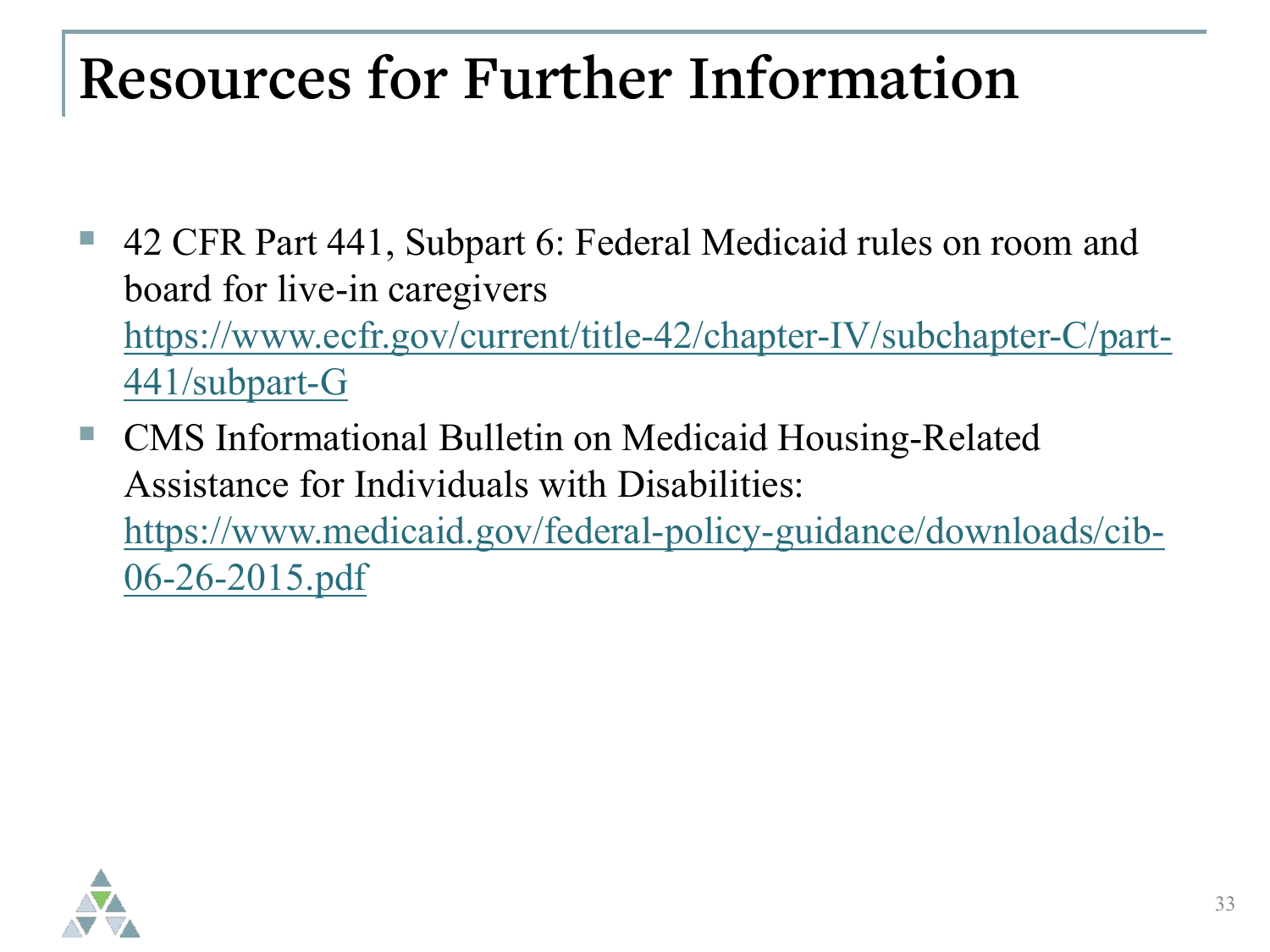#### **Resources for Further Information**

- 42 CFR Part 441, Subpart 6: Federal Medicaid rules on room and board for live-in caregivers [https://www.ecfr.gov/current/title-42/chapter-IV/subchapter-C/part-](https://www.ecfr.gov/current/title-42/chapter-IV/subchapter-C/part-441/subpart-G)441/subpart-G
- CMS Informational Bulletin on Medicaid Housing-Related Assistance for Individuals with Disabilities: [https://www.medicaid.gov/federal-policy-guidance/downloads/cib-](https://www.medicaid.gov/federal-policy-guidance/downloads/cib-06-26-2015.pdf)06-26-2015.pdf

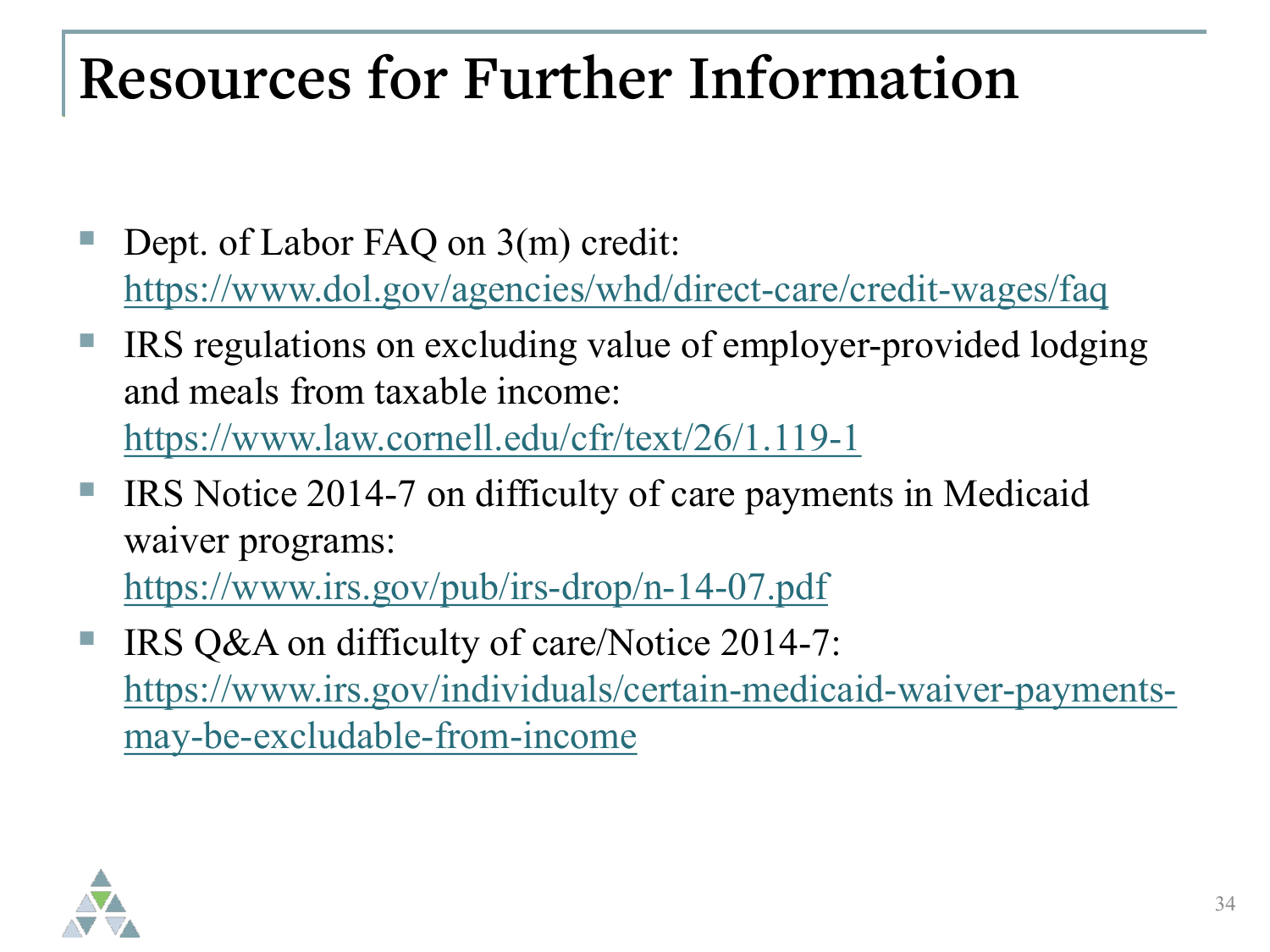#### **Resources for Further Information**

- Dept. of Labor FAQ on 3(m) credit: <https://www.dol.gov/agencies/whd/direct-care/credit-wages/faq>
- IRS regulations on excluding value of employer-provided lodging and meals from taxable income:

<https://www.law.cornell.edu/cfr/text/26/1.119-1>

 IRS Notice 2014-7 on difficulty of care payments in Medicaid waiver programs:

<https://www.irs.gov/pub/irs-drop/n-14-07.pdf>

 IRS Q&A on difficulty of care/Notice 2014-7: [https://www.irs.gov/individuals/certain-medicaid-waiver-payments](https://www.irs.gov/individuals/certain-medicaid-waiver-payments-may-be-excludable-from-income)may-be-excludable-from-income